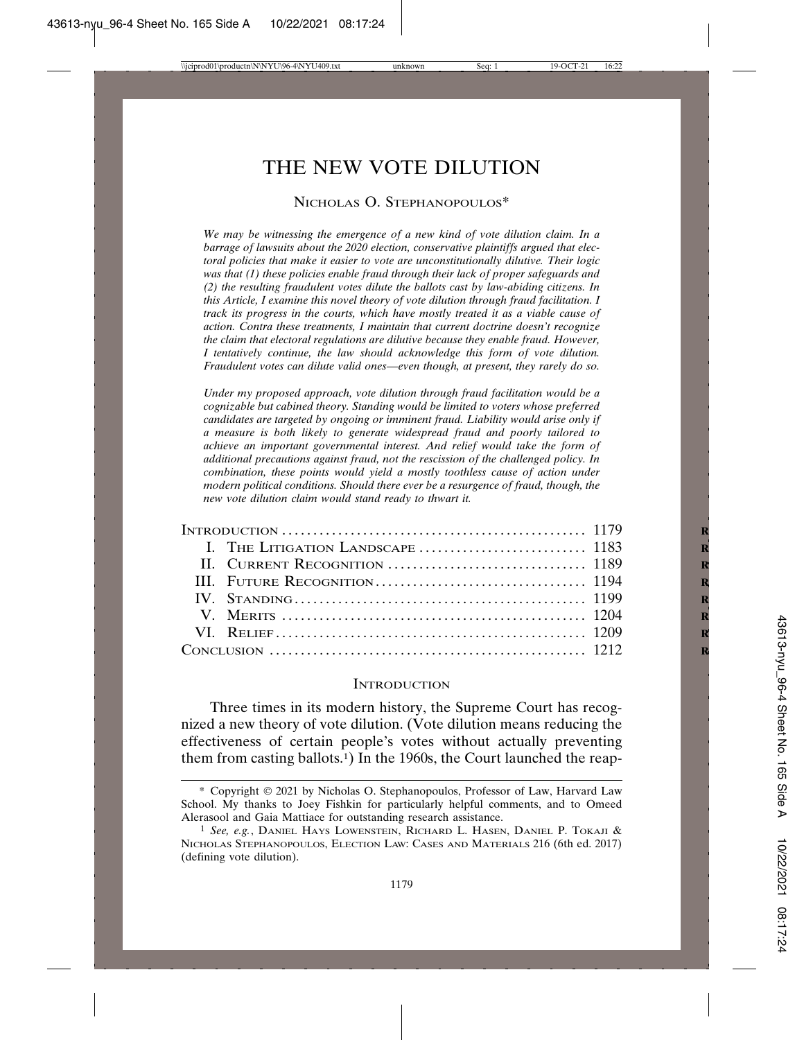# THE NEW VOTE DILUTION

# NICHOLAS O. STEPHANOPOULOS<sup>\*</sup>

*We may be witnessing the emergence of a new kind of vote dilution claim. In a barrage of lawsuits about the 2020 election, conservative plaintiffs argued that electoral policies that make it easier to vote are unconstitutionally dilutive. Their logic was that (1) these policies enable fraud through their lack of proper safeguards and (2) the resulting fraudulent votes dilute the ballots cast by law-abiding citizens. In this Article, I examine this novel theory of vote dilution through fraud facilitation. I track its progress in the courts, which have mostly treated it as a viable cause of action. Contra these treatments, I maintain that current doctrine doesn't recognize the claim that electoral regulations are dilutive because they enable fraud. However, I tentatively continue, the law should acknowledge this form of vote dilution. Fraudulent votes can dilute valid ones—even though, at present, they rarely do so.*

*Under my proposed approach, vote dilution through fraud facilitation would be a cognizable but cabined theory. Standing would be limited to voters whose preferred candidates are targeted by ongoing or imminent fraud. Liability would arise only if a measure is both likely to generate widespread fraud and poorly tailored to achieve an important governmental interest. And relief would take the form of additional precautions against fraud, not the rescission of the challenged policy. In combination, these points would yield a mostly toothless cause of action under modern political conditions. Should there ever be a resurgence of fraud, though, the new vote dilution claim would stand ready to thwart it.*

# **INTRODUCTION**

Three times in its modern history, the Supreme Court has recognized a new theory of vote dilution. (Vote dilution means reducing the effectiveness of certain people's votes without actually preventing them from casting ballots.1) In the 1960s, the Court launched the reap-

<sup>\*</sup> Copyright © 2021 by Nicholas O. Stephanopoulos, Professor of Law, Harvard Law School. My thanks to Joey Fishkin for particularly helpful comments, and to Omeed Alerasool and Gaia Mattiace for outstanding research assistance.

<sup>1</sup> *See, e.g.*, DANIEL HAYS LOWENSTEIN, RICHARD L. HASEN, DANIEL P. TOKAJI & NICHOLAS STEPHANOPOULOS, ELECTION LAW: CASES AND MATERIALS 216 (6th ed. 2017) (defining vote dilution).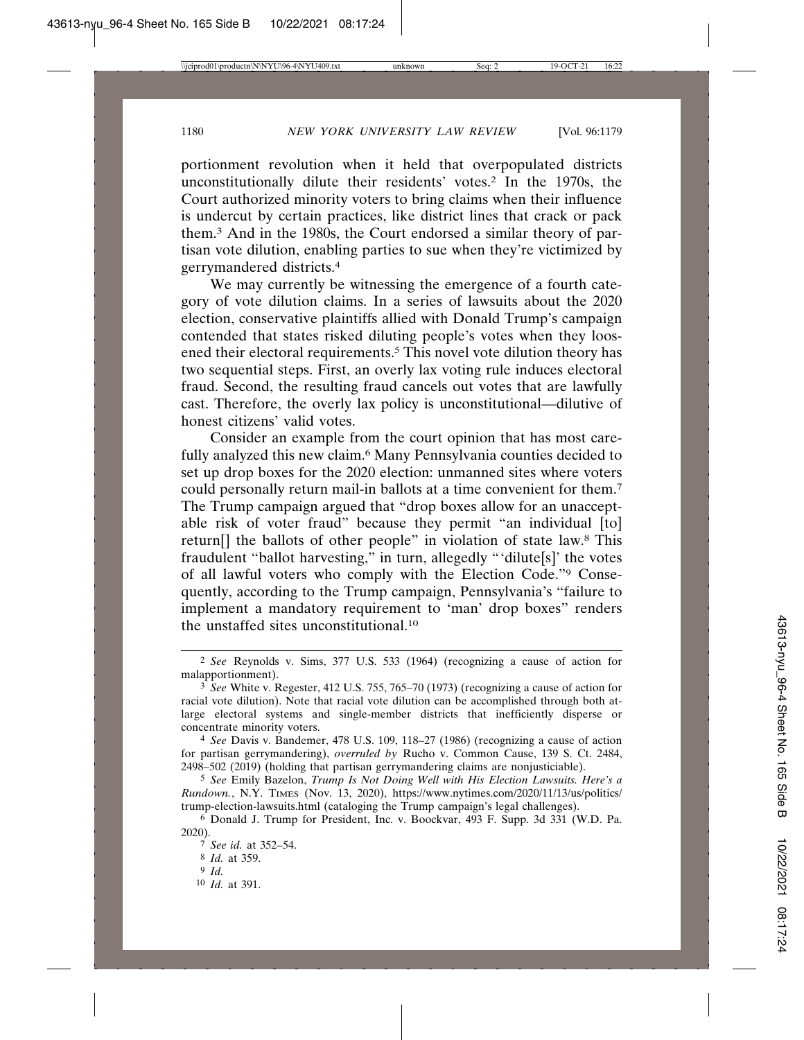portionment revolution when it held that overpopulated districts unconstitutionally dilute their residents' votes.<sup>2</sup> In the 1970s, the Court authorized minority voters to bring claims when their influence is undercut by certain practices, like district lines that crack or pack them.3 And in the 1980s, the Court endorsed a similar theory of partisan vote dilution, enabling parties to sue when they're victimized by gerrymandered districts.4

We may currently be witnessing the emergence of a fourth category of vote dilution claims. In a series of lawsuits about the 2020 election, conservative plaintiffs allied with Donald Trump's campaign contended that states risked diluting people's votes when they loosened their electoral requirements.<sup>5</sup> This novel vote dilution theory has two sequential steps. First, an overly lax voting rule induces electoral fraud. Second, the resulting fraud cancels out votes that are lawfully cast. Therefore, the overly lax policy is unconstitutional—dilutive of honest citizens' valid votes.

Consider an example from the court opinion that has most carefully analyzed this new claim.<sup>6</sup> Many Pennsylvania counties decided to set up drop boxes for the 2020 election: unmanned sites where voters could personally return mail-in ballots at a time convenient for them.7 The Trump campaign argued that "drop boxes allow for an unacceptable risk of voter fraud" because they permit "an individual [to] return[] the ballots of other people" in violation of state law.8 This fraudulent "ballot harvesting," in turn, allegedly "'dilute[s]' the votes of all lawful voters who comply with the Election Code."9 Consequently, according to the Trump campaign, Pennsylvania's "failure to implement a mandatory requirement to 'man' drop boxes" renders the unstaffed sites unconstitutional.10

10 *Id.* at 391.

<sup>2</sup> *See* Reynolds v. Sims, 377 U.S. 533 (1964) (recognizing a cause of action for malapportionment).

<sup>3</sup> *See* White v. Regester, 412 U.S. 755, 765–70 (1973) (recognizing a cause of action for racial vote dilution). Note that racial vote dilution can be accomplished through both atlarge electoral systems and single-member districts that inefficiently disperse or concentrate minority voters.

<sup>4</sup> *See* Davis v. Bandemer, 478 U.S. 109, 118–27 (1986) (recognizing a cause of action for partisan gerrymandering), *overruled by* Rucho v. Common Cause, 139 S. Ct. 2484, 2498–502 (2019) (holding that partisan gerrymandering claims are nonjusticiable).

<sup>5</sup> *See* Emily Bazelon, *Trump Is Not Doing Well with His Election Lawsuits. Here's a Rundown.*, N.Y. TIMES (Nov. 13, 2020), https://www.nytimes.com/2020/11/13/us/politics/ trump-election-lawsuits.html (cataloging the Trump campaign's legal challenges).

<sup>6</sup> Donald J. Trump for President, Inc. v. Boockvar, 493 F. Supp. 3d 331 (W.D. Pa. 2020).

<sup>7</sup> *See id.* at 352–54.

<sup>8</sup> *Id.* at 359.

<sup>9</sup> *Id.*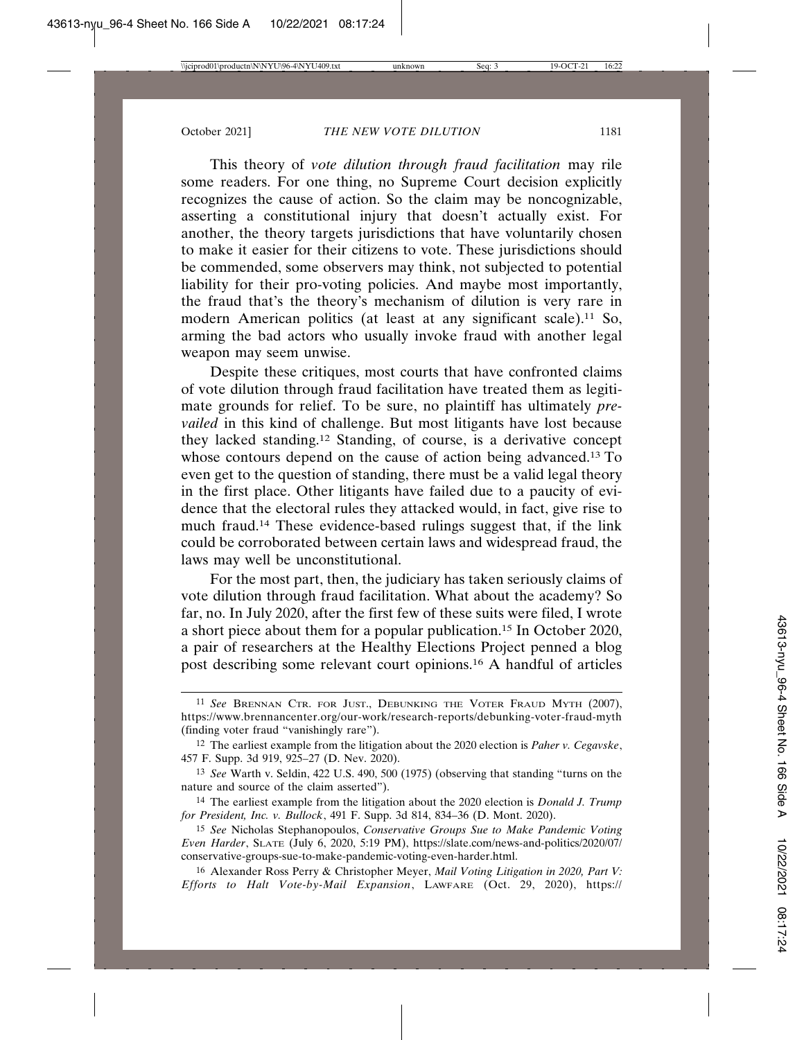This theory of *vote dilution through fraud facilitation* may rile some readers. For one thing, no Supreme Court decision explicitly recognizes the cause of action. So the claim may be noncognizable, asserting a constitutional injury that doesn't actually exist. For another, the theory targets jurisdictions that have voluntarily chosen to make it easier for their citizens to vote. These jurisdictions should be commended, some observers may think, not subjected to potential liability for their pro-voting policies. And maybe most importantly, the fraud that's the theory's mechanism of dilution is very rare in modern American politics (at least at any significant scale).<sup>11</sup> So, arming the bad actors who usually invoke fraud with another legal weapon may seem unwise.

Despite these critiques, most courts that have confronted claims of vote dilution through fraud facilitation have treated them as legitimate grounds for relief. To be sure, no plaintiff has ultimately *prevailed* in this kind of challenge. But most litigants have lost because they lacked standing.12 Standing, of course, is a derivative concept whose contours depend on the cause of action being advanced.<sup>13</sup> To even get to the question of standing, there must be a valid legal theory in the first place. Other litigants have failed due to a paucity of evidence that the electoral rules they attacked would, in fact, give rise to much fraud.14 These evidence-based rulings suggest that, if the link could be corroborated between certain laws and widespread fraud, the laws may well be unconstitutional.

For the most part, then, the judiciary has taken seriously claims of vote dilution through fraud facilitation. What about the academy? So far, no. In July 2020, after the first few of these suits were filed, I wrote a short piece about them for a popular publication.15 In October 2020, a pair of researchers at the Healthy Elections Project penned a blog post describing some relevant court opinions.16 A handful of articles

<sup>11</sup> *See* BRENNAN CTR. FOR JUST., DEBUNKING THE VOTER FRAUD MYTH (2007), https://www.brennancenter.org/our-work/research-reports/debunking-voter-fraud-myth (finding voter fraud "vanishingly rare").

<sup>12</sup> The earliest example from the litigation about the 2020 election is *Paher v. Cegavske*, 457 F. Supp. 3d 919, 925–27 (D. Nev. 2020).

<sup>13</sup> *See* Warth v. Seldin, 422 U.S. 490, 500 (1975) (observing that standing "turns on the nature and source of the claim asserted").

<sup>14</sup> The earliest example from the litigation about the 2020 election is *Donald J. Trump for President, Inc. v. Bullock*, 491 F. Supp. 3d 814, 834–36 (D. Mont. 2020).

<sup>15</sup> *See* Nicholas Stephanopoulos, *Conservative Groups Sue to Make Pandemic Voting Even Harder*, SLATE (July 6, 2020, 5:19 PM), https://slate.com/news-and-politics/2020/07/ conservative-groups-sue-to-make-pandemic-voting-even-harder.html.

<sup>16</sup> Alexander Ross Perry & Christopher Meyer, *Mail Voting Litigation in 2020, Part V: Efforts to Halt Vote-by-Mail Expansion*, LAWFARE (Oct. 29, 2020), https://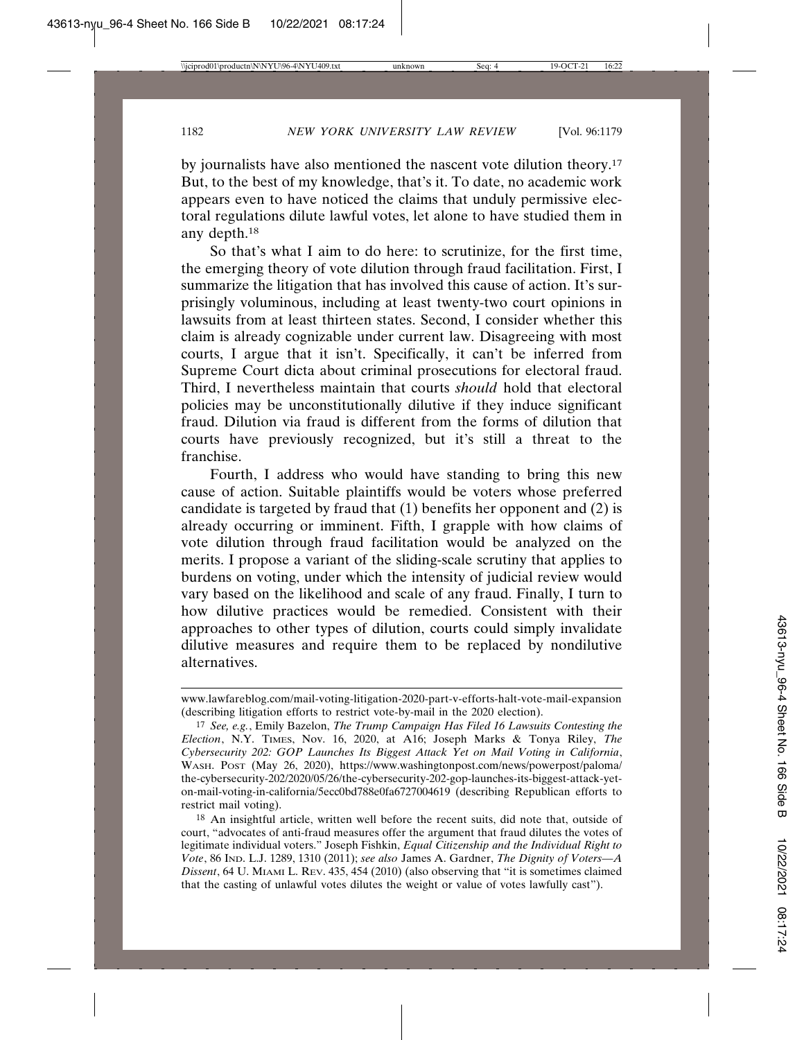by journalists have also mentioned the nascent vote dilution theory.17 But, to the best of my knowledge, that's it. To date, no academic work appears even to have noticed the claims that unduly permissive electoral regulations dilute lawful votes, let alone to have studied them in any depth.18

So that's what I aim to do here: to scrutinize, for the first time, the emerging theory of vote dilution through fraud facilitation. First, I summarize the litigation that has involved this cause of action. It's surprisingly voluminous, including at least twenty-two court opinions in lawsuits from at least thirteen states. Second, I consider whether this claim is already cognizable under current law. Disagreeing with most courts, I argue that it isn't. Specifically, it can't be inferred from Supreme Court dicta about criminal prosecutions for electoral fraud. Third, I nevertheless maintain that courts *should* hold that electoral policies may be unconstitutionally dilutive if they induce significant fraud. Dilution via fraud is different from the forms of dilution that courts have previously recognized, but it's still a threat to the franchise.

Fourth, I address who would have standing to bring this new cause of action. Suitable plaintiffs would be voters whose preferred candidate is targeted by fraud that (1) benefits her opponent and (2) is already occurring or imminent. Fifth, I grapple with how claims of vote dilution through fraud facilitation would be analyzed on the merits. I propose a variant of the sliding-scale scrutiny that applies to burdens on voting, under which the intensity of judicial review would vary based on the likelihood and scale of any fraud. Finally, I turn to how dilutive practices would be remedied. Consistent with their approaches to other types of dilution, courts could simply invalidate dilutive measures and require them to be replaced by nondilutive alternatives.

www.lawfareblog.com/mail-voting-litigation-2020-part-v-efforts-halt-vote-mail-expansion (describing litigation efforts to restrict vote-by-mail in the 2020 election).

<sup>17</sup> *See, e.g.*, Emily Bazelon, *The Trump Campaign Has Filed 16 Lawsuits Contesting the Election*, N.Y. TIMES, Nov. 16, 2020, at A16; Joseph Marks & Tonya Riley, *The Cybersecurity 202: GOP Launches Its Biggest Attack Yet on Mail Voting in California*, WASH. POST (May 26, 2020), https://www.washingtonpost.com/news/powerpost/paloma/ the-cybersecurity-202/2020/05/26/the-cybersecurity-202-gop-launches-its-biggest-attack-yeton-mail-voting-in-california/5ecc0bd788e0fa6727004619 (describing Republican efforts to restrict mail voting).

<sup>18</sup> An insightful article, written well before the recent suits, did note that, outside of court, "advocates of anti-fraud measures offer the argument that fraud dilutes the votes of legitimate individual voters." Joseph Fishkin, *Equal Citizenship and the Individual Right to Vote*, 86 IND. L.J. 1289, 1310 (2011); *see also* James A. Gardner, *The Dignity of Voters—A Dissent*, 64 U. MIAMI L. REV. 435, 454 (2010) (also observing that "it is sometimes claimed that the casting of unlawful votes dilutes the weight or value of votes lawfully cast").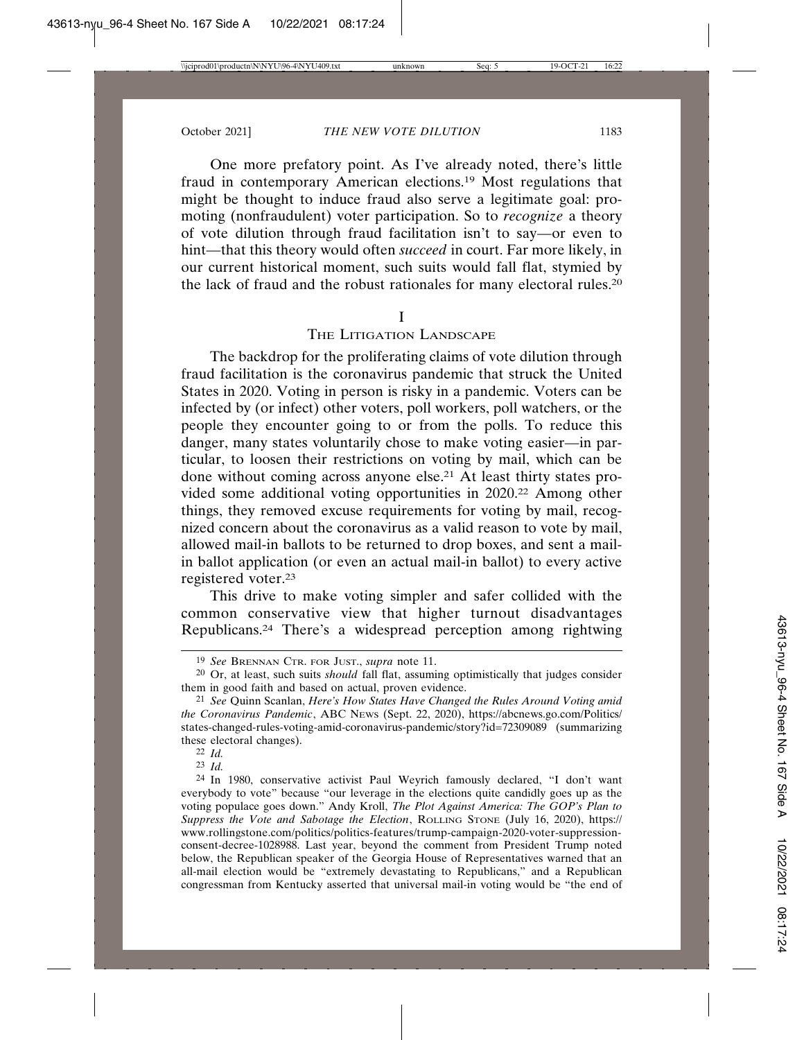One more prefatory point. As I've already noted, there's little fraud in contemporary American elections.19 Most regulations that might be thought to induce fraud also serve a legitimate goal: promoting (nonfraudulent) voter participation. So to *recognize* a theory of vote dilution through fraud facilitation isn't to say—or even to hint—that this theory would often *succeed* in court. Far more likely, in our current historical moment, such suits would fall flat, stymied by the lack of fraud and the robust rationales for many electoral rules.20

### I

# THE LITIGATION LANDSCAPE

The backdrop for the proliferating claims of vote dilution through fraud facilitation is the coronavirus pandemic that struck the United States in 2020. Voting in person is risky in a pandemic. Voters can be infected by (or infect) other voters, poll workers, poll watchers, or the people they encounter going to or from the polls. To reduce this danger, many states voluntarily chose to make voting easier—in particular, to loosen their restrictions on voting by mail, which can be done without coming across anyone else.<sup>21</sup> At least thirty states provided some additional voting opportunities in 2020.22 Among other things, they removed excuse requirements for voting by mail, recognized concern about the coronavirus as a valid reason to vote by mail, allowed mail-in ballots to be returned to drop boxes, and sent a mailin ballot application (or even an actual mail-in ballot) to every active registered voter.23

This drive to make voting simpler and safer collided with the common conservative view that higher turnout disadvantages Republicans.24 There's a widespread perception among rightwing

23 *Id.*

<sup>19</sup> *See* BRENNAN CTR. FOR JUST., *supra* note 11.

<sup>20</sup> Or, at least, such suits *should* fall flat, assuming optimistically that judges consider them in good faith and based on actual, proven evidence.

<sup>21</sup> *See* Quinn Scanlan, *Here's How States Have Changed the Rules Around Voting amid the Coronavirus Pandemic*, ABC NEWS (Sept. 22, 2020), https://abcnews.go.com/Politics/ states-changed-rules-voting-amid-coronavirus-pandemic/story?id=72309089 (summarizing these electoral changes).

<sup>22</sup> *Id.*

<sup>24</sup> In 1980, conservative activist Paul Weyrich famously declared, "I don't want everybody to vote" because "our leverage in the elections quite candidly goes up as the voting populace goes down." Andy Kroll, *The Plot Against America: The GOP's Plan to Suppress the Vote and Sabotage the Election*, ROLLING STONE (July 16, 2020), https:// www.rollingstone.com/politics/politics-features/trump-campaign-2020-voter-suppressionconsent-decree-1028988. Last year, beyond the comment from President Trump noted below, the Republican speaker of the Georgia House of Representatives warned that an all-mail election would be "extremely devastating to Republicans," and a Republican congressman from Kentucky asserted that universal mail-in voting would be "the end of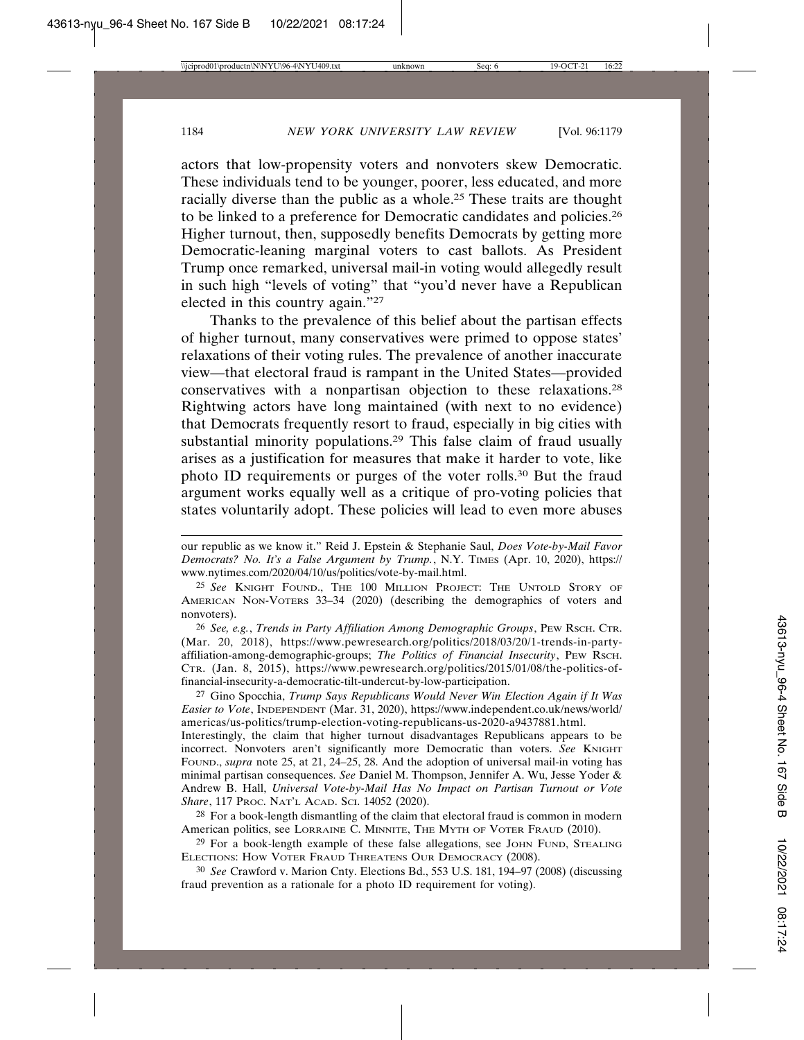actors that low-propensity voters and nonvoters skew Democratic. These individuals tend to be younger, poorer, less educated, and more racially diverse than the public as a whole.25 These traits are thought to be linked to a preference for Democratic candidates and policies.26 Higher turnout, then, supposedly benefits Democrats by getting more Democratic-leaning marginal voters to cast ballots. As President Trump once remarked, universal mail-in voting would allegedly result in such high "levels of voting" that "you'd never have a Republican elected in this country again."27

Thanks to the prevalence of this belief about the partisan effects of higher turnout, many conservatives were primed to oppose states' relaxations of their voting rules. The prevalence of another inaccurate view—that electoral fraud is rampant in the United States—provided conservatives with a nonpartisan objection to these relaxations.28 Rightwing actors have long maintained (with next to no evidence) that Democrats frequently resort to fraud, especially in big cities with substantial minority populations.29 This false claim of fraud usually arises as a justification for measures that make it harder to vote, like photo ID requirements or purges of the voter rolls.30 But the fraud argument works equally well as a critique of pro-voting policies that states voluntarily adopt. These policies will lead to even more abuses

26 *See, e.g.*, *Trends in Party Affiliation Among Demographic Groups*, PEW RSCH. CTR. (Mar. 20, 2018), https://www.pewresearch.org/politics/2018/03/20/1-trends-in-partyaffiliation-among-demographic-groups; *The Politics of Financial Insecurity*, PEW RSCH. CTR. (Jan. 8, 2015), https://www.pewresearch.org/politics/2015/01/08/the-politics-offinancial-insecurity-a-democratic-tilt-undercut-by-low-participation.

27 Gino Spocchia, *Trump Says Republicans Would Never Win Election Again if It Was Easier to Vote*, INDEPENDENT (Mar. 31, 2020), https://www.independent.co.uk/news/world/ americas/us-politics/trump-election-voting-republicans-us-2020-a9437881.html.

Interestingly, the claim that higher turnout disadvantages Republicans appears to be incorrect. Nonvoters aren't significantly more Democratic than voters. See KNIGHT FOUND., *supra* note 25, at 21, 24–25, 28. And the adoption of universal mail-in voting has minimal partisan consequences. *See* Daniel M. Thompson, Jennifer A. Wu, Jesse Yoder & Andrew B. Hall, *Universal Vote-by-Mail Has No Impact on Partisan Turnout or Vote Share*, 117 PROC. NAT'L ACAD. SCI. 14052 (2020).

<sup>28</sup> For a book-length dismantling of the claim that electoral fraud is common in modern American politics, see LORRAINE C. MINNITE, THE MYTH OF VOTER FRAUD (2010).

29 For a book-length example of these false allegations, see JOHN FUND, STEALING ELECTIONS: HOW VOTER FRAUD THREATENS OUR DEMOCRACY (2008).

30 *See* Crawford v. Marion Cnty. Elections Bd., 553 U.S. 181, 194–97 (2008) (discussing fraud prevention as a rationale for a photo ID requirement for voting).

our republic as we know it." Reid J. Epstein & Stephanie Saul, *Does Vote-by-Mail Favor Democrats? No. It's a False Argument by Trump.*, N.Y. TIMES (Apr. 10, 2020), https:// www.nytimes.com/2020/04/10/us/politics/vote-by-mail.html.

<sup>25</sup> *See* KNIGHT FOUND., THE 100 MILLION PROJECT: THE UNTOLD STORY OF AMERICAN NON-VOTERS 33–34 (2020) (describing the demographics of voters and nonvoters).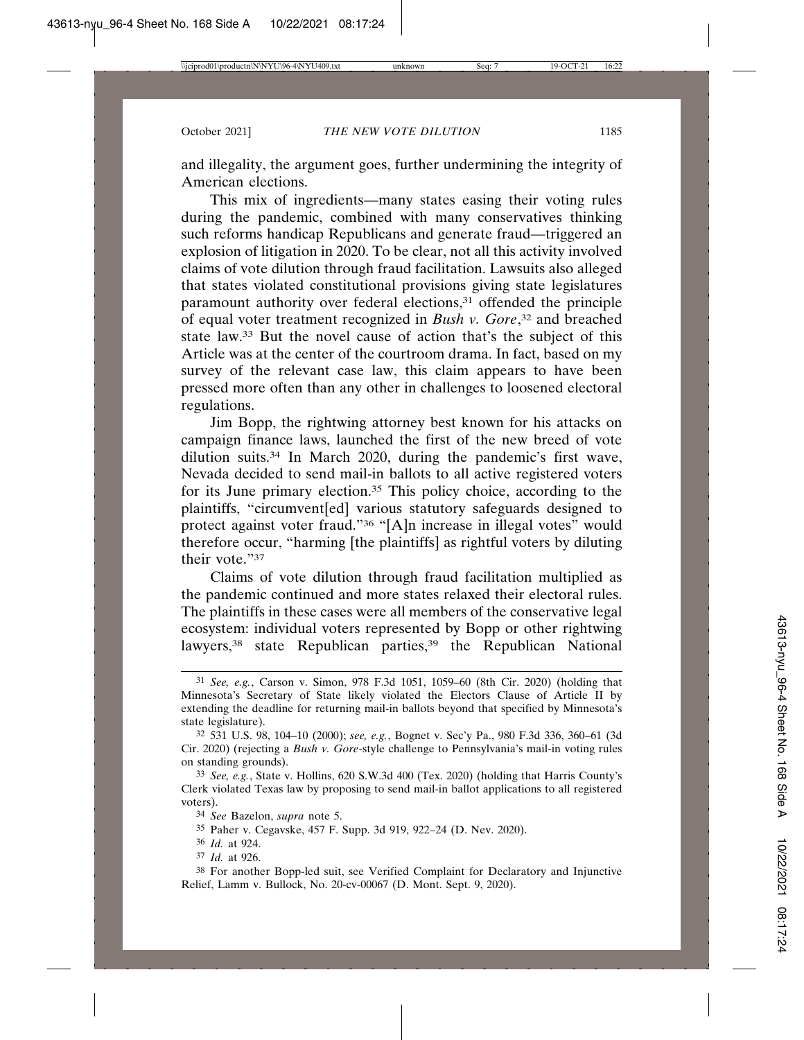and illegality, the argument goes, further undermining the integrity of American elections.

This mix of ingredients—many states easing their voting rules during the pandemic, combined with many conservatives thinking such reforms handicap Republicans and generate fraud—triggered an explosion of litigation in 2020. To be clear, not all this activity involved claims of vote dilution through fraud facilitation. Lawsuits also alleged that states violated constitutional provisions giving state legislatures paramount authority over federal elections,<sup>31</sup> offended the principle of equal voter treatment recognized in *Bush v. Gore*, 32 and breached state law.33 But the novel cause of action that's the subject of this Article was at the center of the courtroom drama. In fact, based on my survey of the relevant case law, this claim appears to have been pressed more often than any other in challenges to loosened electoral regulations.

Jim Bopp, the rightwing attorney best known for his attacks on campaign finance laws, launched the first of the new breed of vote dilution suits.34 In March 2020, during the pandemic's first wave, Nevada decided to send mail-in ballots to all active registered voters for its June primary election.35 This policy choice, according to the plaintiffs, "circumvent[ed] various statutory safeguards designed to protect against voter fraud."36 "[A]n increase in illegal votes" would therefore occur, "harming [the plaintiffs] as rightful voters by diluting their vote."37

Claims of vote dilution through fraud facilitation multiplied as the pandemic continued and more states relaxed their electoral rules. The plaintiffs in these cases were all members of the conservative legal ecosystem: individual voters represented by Bopp or other rightwing lawyers,<sup>38</sup> state Republican parties,<sup>39</sup> the Republican National

- 36 *Id.* at 924.
- 37 *Id.* at 926.

38 For another Bopp-led suit, see Verified Complaint for Declaratory and Injunctive Relief, Lamm v. Bullock, No. 20-cv-00067 (D. Mont. Sept. 9, 2020).

<sup>31</sup> *See, e.g.*, Carson v. Simon, 978 F.3d 1051, 1059–60 (8th Cir. 2020) (holding that Minnesota's Secretary of State likely violated the Electors Clause of Article II by extending the deadline for returning mail-in ballots beyond that specified by Minnesota's state legislature).

<sup>32</sup> 531 U.S. 98, 104–10 (2000); *see, e.g.*, Bognet v. Sec'y Pa., 980 F.3d 336, 360–61 (3d Cir. 2020) (rejecting a *Bush v. Gore*-style challenge to Pennsylvania's mail-in voting rules on standing grounds).

<sup>33</sup> *See, e.g.*, State v. Hollins, 620 S.W.3d 400 (Tex. 2020) (holding that Harris County's Clerk violated Texas law by proposing to send mail-in ballot applications to all registered voters).

<sup>34</sup> *See* Bazelon, *supra* note 5.

<sup>35</sup> Paher v. Cegavske, 457 F. Supp. 3d 919, 922–24 (D. Nev. 2020).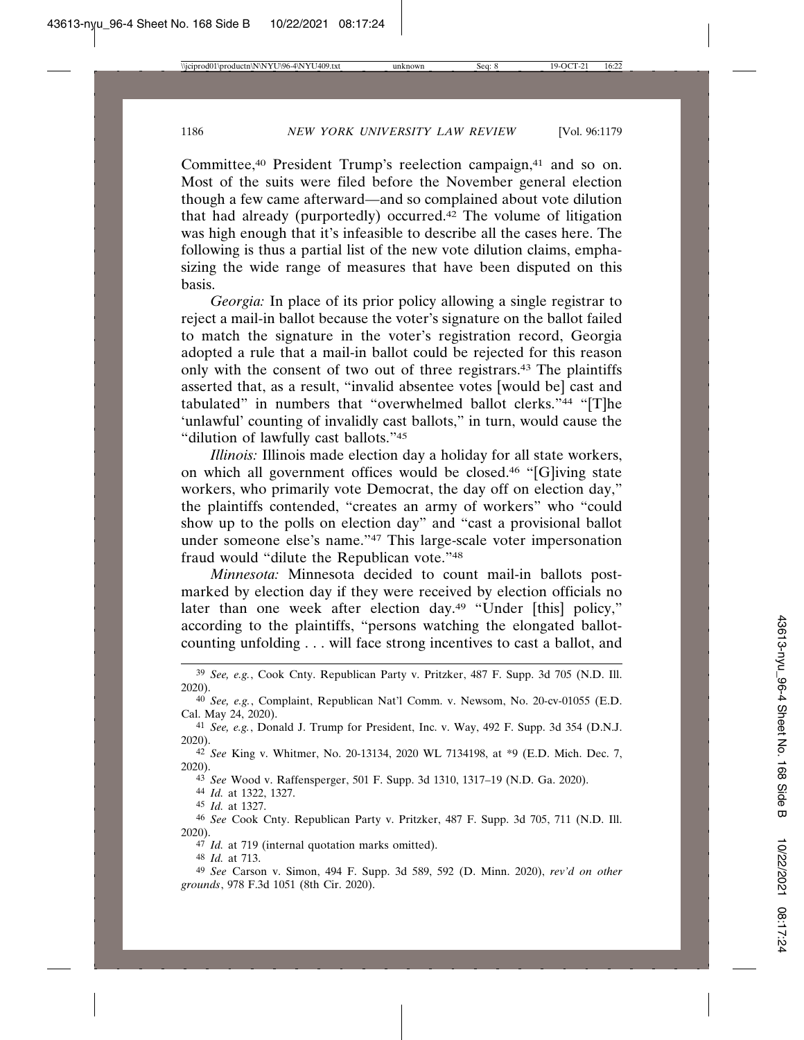Committee,<sup>40</sup> President Trump's reelection campaign,<sup>41</sup> and so on. Most of the suits were filed before the November general election though a few came afterward—and so complained about vote dilution that had already (purportedly) occurred.42 The volume of litigation was high enough that it's infeasible to describe all the cases here. The following is thus a partial list of the new vote dilution claims, emphasizing the wide range of measures that have been disputed on this basis.

*Georgia:* In place of its prior policy allowing a single registrar to reject a mail-in ballot because the voter's signature on the ballot failed to match the signature in the voter's registration record, Georgia adopted a rule that a mail-in ballot could be rejected for this reason only with the consent of two out of three registrars.43 The plaintiffs asserted that, as a result, "invalid absentee votes [would be] cast and tabulated" in numbers that "overwhelmed ballot clerks."44 "[T]he 'unlawful' counting of invalidly cast ballots," in turn, would cause the "dilution of lawfully cast ballots."45

*Illinois:* Illinois made election day a holiday for all state workers, on which all government offices would be closed.46 "[G]iving state workers, who primarily vote Democrat, the day off on election day," the plaintiffs contended, "creates an army of workers" who "could show up to the polls on election day" and "cast a provisional ballot under someone else's name."47 This large-scale voter impersonation fraud would "dilute the Republican vote."48

*Minnesota:* Minnesota decided to count mail-in ballots postmarked by election day if they were received by election officials no later than one week after election day.<sup>49</sup> "Under [this] policy," according to the plaintiffs, "persons watching the elongated ballotcounting unfolding . . . will face strong incentives to cast a ballot, and

43 *See* Wood v. Raffensperger, 501 F. Supp. 3d 1310, 1317–19 (N.D. Ga. 2020).

44 *Id.* at 1322, 1327.

45 *Id.* at 1327.

46 *See* Cook Cnty. Republican Party v. Pritzker, 487 F. Supp. 3d 705, 711 (N.D. Ill. 2020).

47 *Id.* at 719 (internal quotation marks omitted).

48 *Id.* at 713.

49 *See* Carson v. Simon, 494 F. Supp. 3d 589, 592 (D. Minn. 2020), *rev'd on other grounds*, 978 F.3d 1051 (8th Cir. 2020).

<sup>39</sup> *See, e.g.*, Cook Cnty. Republican Party v. Pritzker, 487 F. Supp. 3d 705 (N.D. Ill. 2020).

<sup>40</sup> *See, e.g.*, Complaint, Republican Nat'l Comm. v. Newsom, No. 20-cv-01055 (E.D. Cal. May 24, 2020).

<sup>41</sup> *See, e.g.*, Donald J. Trump for President, Inc. v. Way, 492 F. Supp. 3d 354 (D.N.J. 2020).

<sup>42</sup> *See* King v. Whitmer, No. 20-13134, 2020 WL 7134198, at \*9 (E.D. Mich. Dec. 7, 2020).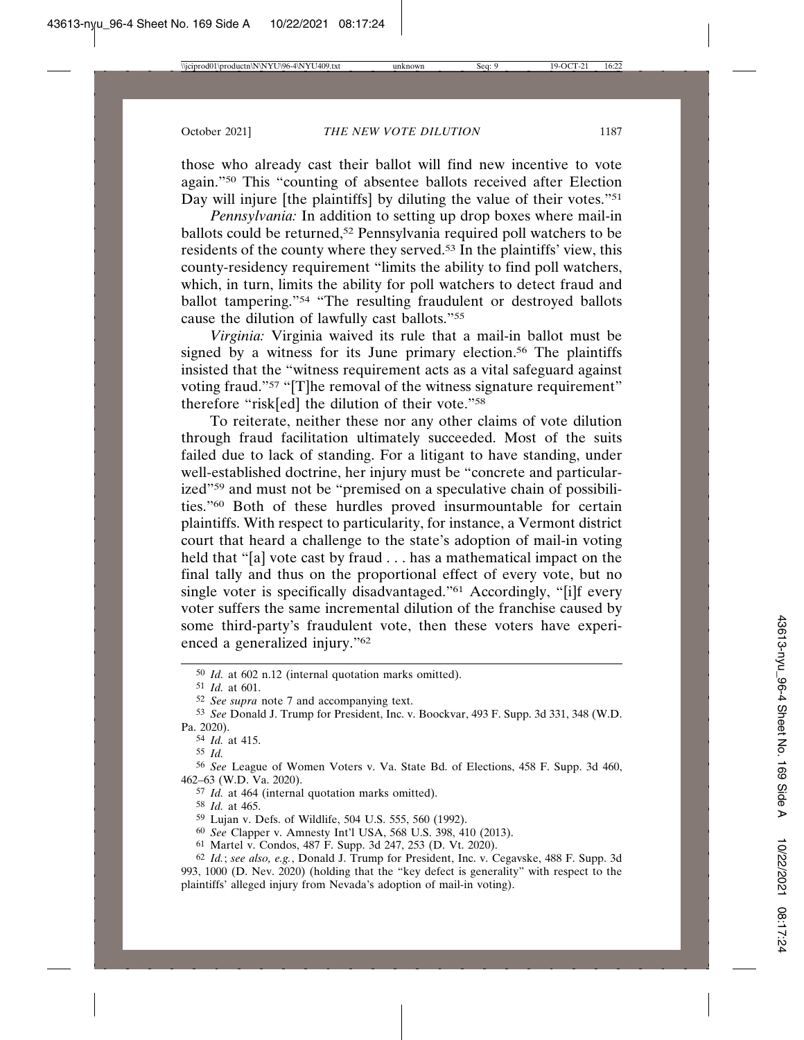those who already cast their ballot will find new incentive to vote again."50 This "counting of absentee ballots received after Election Day will injure [the plaintiffs] by diluting the value of their votes."<sup>51</sup>

*Pennsylvania:* In addition to setting up drop boxes where mail-in ballots could be returned,<sup>52</sup> Pennsylvania required poll watchers to be residents of the county where they served.53 In the plaintiffs' view, this county-residency requirement "limits the ability to find poll watchers, which, in turn, limits the ability for poll watchers to detect fraud and ballot tampering."54 "The resulting fraudulent or destroyed ballots cause the dilution of lawfully cast ballots."55

*Virginia:* Virginia waived its rule that a mail-in ballot must be signed by a witness for its June primary election.<sup>56</sup> The plaintiffs insisted that the "witness requirement acts as a vital safeguard against voting fraud."<sup>57</sup> "[T]he removal of the witness signature requirement" therefore "risk[ed] the dilution of their vote."<sup>58</sup>

To reiterate, neither these nor any other claims of vote dilution through fraud facilitation ultimately succeeded. Most of the suits failed due to lack of standing. For a litigant to have standing, under well-established doctrine, her injury must be "concrete and particularized"59 and must not be "premised on a speculative chain of possibilities."60 Both of these hurdles proved insurmountable for certain plaintiffs. With respect to particularity, for instance, a Vermont district court that heard a challenge to the state's adoption of mail-in voting held that "[a] vote cast by fraud . . . has a mathematical impact on the final tally and thus on the proportional effect of every vote, but no single voter is specifically disadvantaged."<sup>61</sup> Accordingly, "[i]f every voter suffers the same incremental dilution of the franchise caused by some third-party's fraudulent vote, then these voters have experienced a generalized injury."62

<sup>50</sup> *Id.* at 602 n.12 (internal quotation marks omitted).

<sup>51</sup> *Id.* at 601.

<sup>52</sup> *See supra* note 7 and accompanying text.

<sup>53</sup> *See* Donald J. Trump for President, Inc. v. Boockvar, 493 F. Supp. 3d 331, 348 (W.D. Pa. 2020).

<sup>54</sup> *Id.* at 415.

<sup>55</sup> *Id.*

<sup>56</sup> *See* League of Women Voters v. Va. State Bd. of Elections, 458 F. Supp. 3d 460, 462–63 (W.D. Va. 2020).

<sup>57</sup> *Id.* at 464 (internal quotation marks omitted).

<sup>58</sup> *Id.* at 465.

<sup>59</sup> Lujan v. Defs. of Wildlife, 504 U.S. 555, 560 (1992).

<sup>60</sup> *See* Clapper v. Amnesty Int'l USA, 568 U.S. 398, 410 (2013).

<sup>61</sup> Martel v. Condos, 487 F. Supp. 3d 247, 253 (D. Vt. 2020).

<sup>62</sup> *Id.*; *see also, e.g.*, Donald J. Trump for President, Inc. v. Cegavske, 488 F. Supp. 3d 993, 1000 (D. Nev. 2020) (holding that the "key defect is generality" with respect to the plaintiffs' alleged injury from Nevada's adoption of mail-in voting).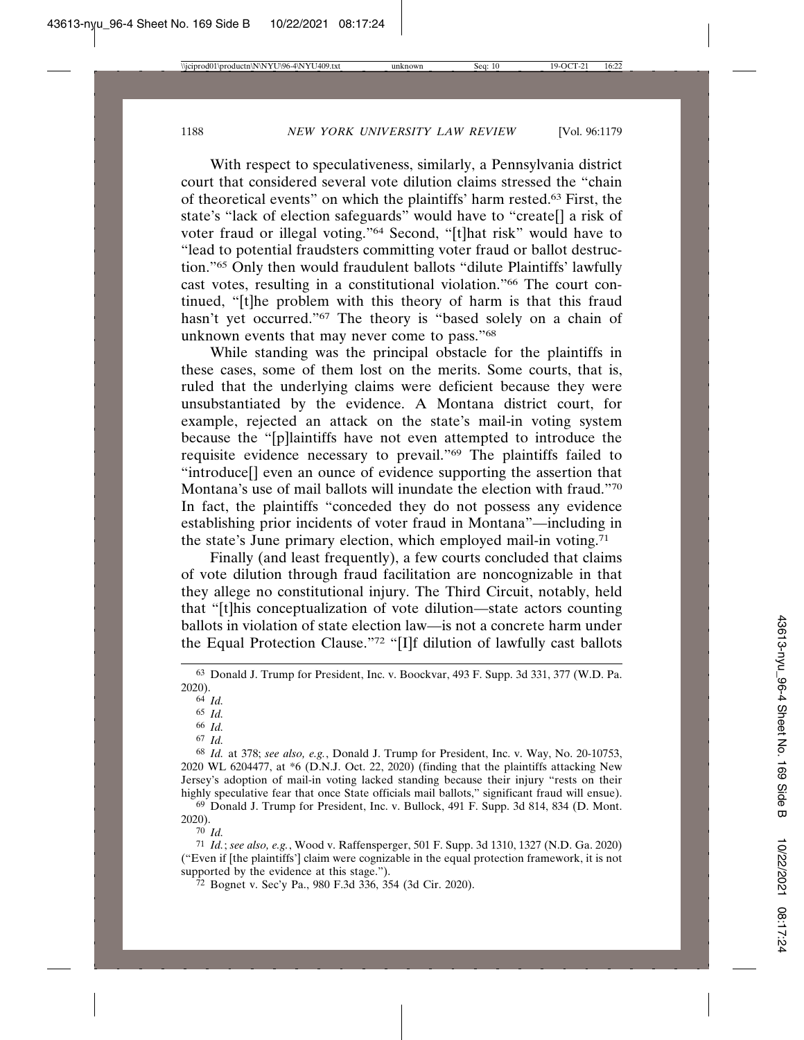With respect to speculativeness, similarly, a Pennsylvania district court that considered several vote dilution claims stressed the "chain of theoretical events" on which the plaintiffs' harm rested.63 First, the state's "lack of election safeguards" would have to "create[] a risk of voter fraud or illegal voting."64 Second, "[t]hat risk" would have to "lead to potential fraudsters committing voter fraud or ballot destruction."65 Only then would fraudulent ballots "dilute Plaintiffs' lawfully cast votes, resulting in a constitutional violation."66 The court continued, "[t]he problem with this theory of harm is that this fraud hasn't yet occurred."<sup>67</sup> The theory is "based solely on a chain of unknown events that may never come to pass."68

While standing was the principal obstacle for the plaintiffs in these cases, some of them lost on the merits. Some courts, that is, ruled that the underlying claims were deficient because they were unsubstantiated by the evidence. A Montana district court, for example, rejected an attack on the state's mail-in voting system because the "[p]laintiffs have not even attempted to introduce the requisite evidence necessary to prevail."69 The plaintiffs failed to "introduce[] even an ounce of evidence supporting the assertion that Montana's use of mail ballots will inundate the election with fraud."70 In fact, the plaintiffs "conceded they do not possess any evidence establishing prior incidents of voter fraud in Montana"—including in the state's June primary election, which employed mail-in voting.71

Finally (and least frequently), a few courts concluded that claims of vote dilution through fraud facilitation are noncognizable in that they allege no constitutional injury. The Third Circuit, notably, held that "[t]his conceptualization of vote dilution—state actors counting ballots in violation of state election law—is not a concrete harm under the Equal Protection Clause."72 "[I]f dilution of lawfully cast ballots

66 *Id.*

69 Donald J. Trump for President, Inc. v. Bullock, 491 F. Supp. 3d 814, 834 (D. Mont. 2020).

70 *Id.*

71 *Id.*; *see also, e.g.*, Wood v. Raffensperger, 501 F. Supp. 3d 1310, 1327 (N.D. Ga. 2020) ("Even if [the plaintiffs'] claim were cognizable in the equal protection framework, it is not supported by the evidence at this stage.").

72 Bognet v. Sec'y Pa., 980 F.3d 336, 354 (3d Cir. 2020).

<sup>63</sup> Donald J. Trump for President, Inc. v. Boockvar, 493 F. Supp. 3d 331, 377 (W.D. Pa. 2020).

<sup>64</sup> *Id.*

<sup>65</sup> *Id.*

<sup>67</sup> *Id.*

<sup>68</sup> *Id.* at 378; *see also, e.g.*, Donald J. Trump for President, Inc. v. Way, No. 20-10753, 2020 WL 6204477, at \*6 (D.N.J. Oct. 22, 2020) (finding that the plaintiffs attacking New Jersey's adoption of mail-in voting lacked standing because their injury "rests on their highly speculative fear that once State officials mail ballots," significant fraud will ensue).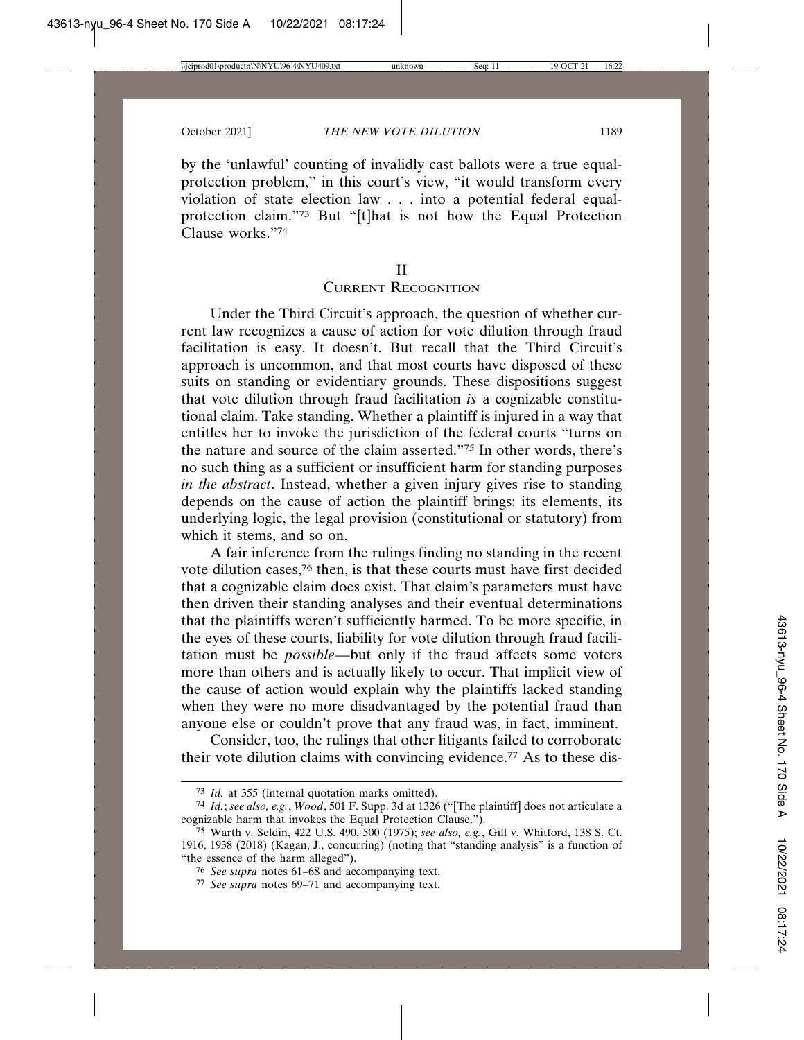by the 'unlawful' counting of invalidly cast ballots were a true equalprotection problem," in this court's view, "it would transform every violation of state election law . . . into a potential federal equalprotection claim."73 But "[t]hat is not how the Equal Protection Clause works."74

II

# CURRENT RECOGNITION

Under the Third Circuit's approach, the question of whether current law recognizes a cause of action for vote dilution through fraud facilitation is easy. It doesn't. But recall that the Third Circuit's approach is uncommon, and that most courts have disposed of these suits on standing or evidentiary grounds. These dispositions suggest that vote dilution through fraud facilitation *is* a cognizable constitutional claim. Take standing. Whether a plaintiff is injured in a way that entitles her to invoke the jurisdiction of the federal courts "turns on the nature and source of the claim asserted."75 In other words, there's no such thing as a sufficient or insufficient harm for standing purposes *in the abstract*. Instead, whether a given injury gives rise to standing depends on the cause of action the plaintiff brings: its elements, its underlying logic, the legal provision (constitutional or statutory) from which it stems, and so on.

A fair inference from the rulings finding no standing in the recent vote dilution cases,76 then, is that these courts must have first decided that a cognizable claim does exist. That claim's parameters must have then driven their standing analyses and their eventual determinations that the plaintiffs weren't sufficiently harmed. To be more specific, in the eyes of these courts, liability for vote dilution through fraud facilitation must be *possible*—but only if the fraud affects some voters more than others and is actually likely to occur. That implicit view of the cause of action would explain why the plaintiffs lacked standing when they were no more disadvantaged by the potential fraud than anyone else or couldn't prove that any fraud was, in fact, imminent.

Consider, too, the rulings that other litigants failed to corroborate their vote dilution claims with convincing evidence.77 As to these dis-

77 *See supra* notes 69–71 and accompanying text.

<sup>73</sup> *Id.* at 355 (internal quotation marks omitted).

<sup>74</sup> *Id.*; *see also, e.g.*, *Wood*, 501 F. Supp. 3d at 1326 ("[The plaintiff] does not articulate a cognizable harm that invokes the Equal Protection Clause.").

<sup>75</sup> Warth v. Seldin, 422 U.S. 490, 500 (1975); *see also, e.g.*, Gill v. Whitford, 138 S. Ct. 1916, 1938 (2018) (Kagan, J., concurring) (noting that "standing analysis" is a function of "the essence of the harm alleged").

<sup>76</sup> *See supra* notes 61–68 and accompanying text.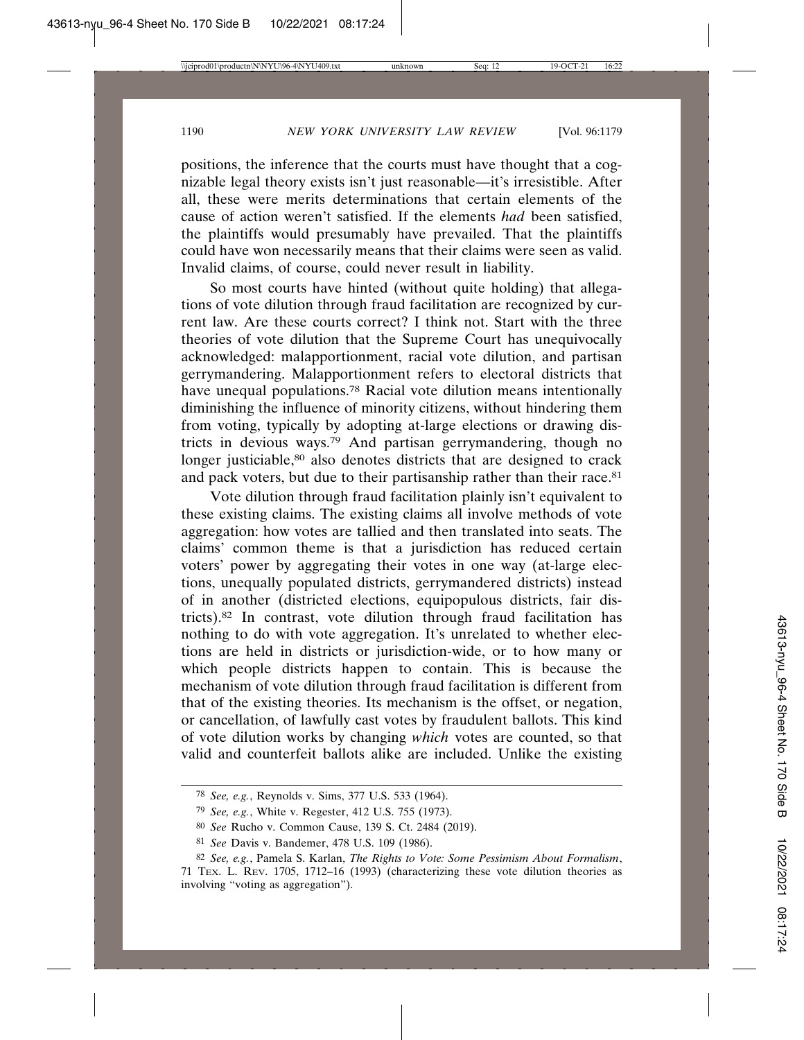positions, the inference that the courts must have thought that a cognizable legal theory exists isn't just reasonable—it's irresistible. After all, these were merits determinations that certain elements of the cause of action weren't satisfied. If the elements *had* been satisfied, the plaintiffs would presumably have prevailed. That the plaintiffs could have won necessarily means that their claims were seen as valid. Invalid claims, of course, could never result in liability.

So most courts have hinted (without quite holding) that allegations of vote dilution through fraud facilitation are recognized by current law. Are these courts correct? I think not. Start with the three theories of vote dilution that the Supreme Court has unequivocally acknowledged: malapportionment, racial vote dilution, and partisan gerrymandering. Malapportionment refers to electoral districts that have unequal populations.<sup>78</sup> Racial vote dilution means intentionally diminishing the influence of minority citizens, without hindering them from voting, typically by adopting at-large elections or drawing districts in devious ways.79 And partisan gerrymandering, though no longer justiciable,<sup>80</sup> also denotes districts that are designed to crack and pack voters, but due to their partisanship rather than their race.<sup>81</sup>

Vote dilution through fraud facilitation plainly isn't equivalent to these existing claims. The existing claims all involve methods of vote aggregation: how votes are tallied and then translated into seats. The claims' common theme is that a jurisdiction has reduced certain voters' power by aggregating their votes in one way (at-large elections, unequally populated districts, gerrymandered districts) instead of in another (districted elections, equipopulous districts, fair districts).82 In contrast, vote dilution through fraud facilitation has nothing to do with vote aggregation. It's unrelated to whether elections are held in districts or jurisdiction-wide, or to how many or which people districts happen to contain. This is because the mechanism of vote dilution through fraud facilitation is different from that of the existing theories. Its mechanism is the offset, or negation, or cancellation, of lawfully cast votes by fraudulent ballots. This kind of vote dilution works by changing *which* votes are counted, so that valid and counterfeit ballots alike are included. Unlike the existing

<sup>78</sup> *See, e.g.*, Reynolds v. Sims, 377 U.S. 533 (1964).

<sup>79</sup> *See, e.g.*, White v. Regester, 412 U.S. 755 (1973).

<sup>80</sup> *See* Rucho v. Common Cause, 139 S. Ct. 2484 (2019).

<sup>81</sup> *See* Davis v. Bandemer, 478 U.S. 109 (1986).

<sup>82</sup> *See, e.g.*, Pamela S. Karlan, *The Rights to Vote: Some Pessimism About Formalism*, 71 TEX. L. REV. 1705, 1712–16 (1993) (characterizing these vote dilution theories as involving "voting as aggregation").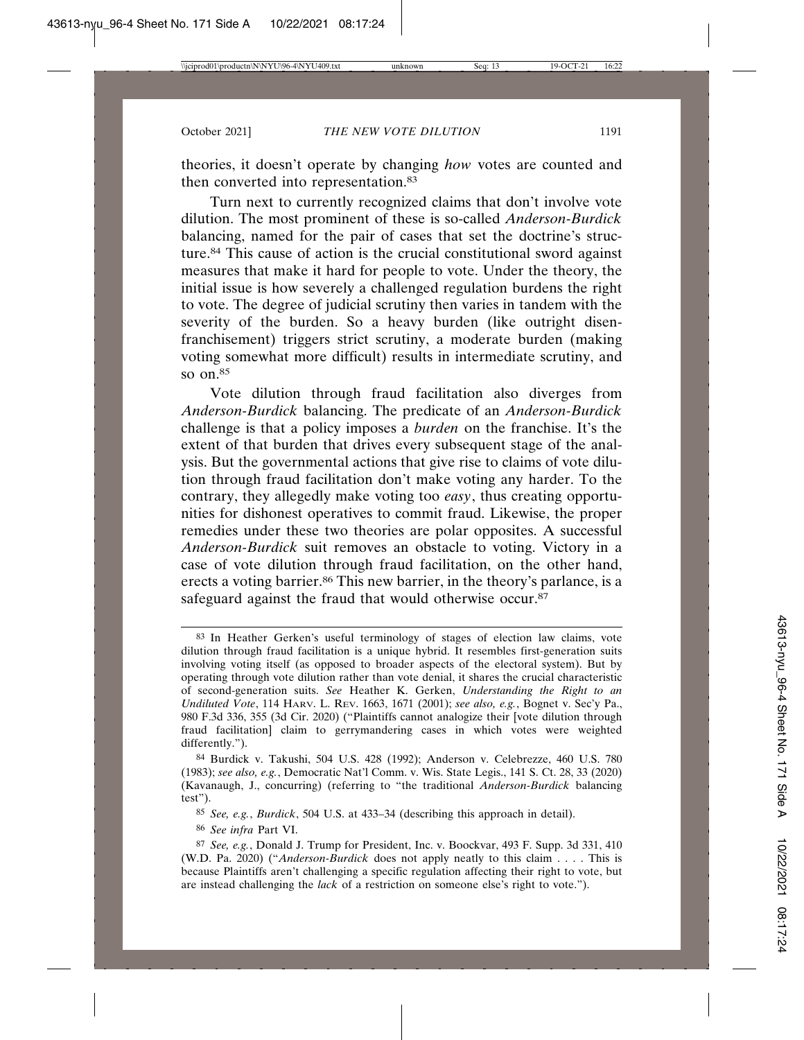theories, it doesn't operate by changing *how* votes are counted and then converted into representation.<sup>83</sup>

Turn next to currently recognized claims that don't involve vote dilution. The most prominent of these is so-called *Anderson-Burdick* balancing, named for the pair of cases that set the doctrine's structure.84 This cause of action is the crucial constitutional sword against measures that make it hard for people to vote. Under the theory, the initial issue is how severely a challenged regulation burdens the right to vote. The degree of judicial scrutiny then varies in tandem with the severity of the burden. So a heavy burden (like outright disenfranchisement) triggers strict scrutiny, a moderate burden (making voting somewhat more difficult) results in intermediate scrutiny, and so  $on.85$ 

Vote dilution through fraud facilitation also diverges from *Anderson-Burdick* balancing. The predicate of an *Anderson-Burdick* challenge is that a policy imposes a *burden* on the franchise. It's the extent of that burden that drives every subsequent stage of the analysis. But the governmental actions that give rise to claims of vote dilution through fraud facilitation don't make voting any harder. To the contrary, they allegedly make voting too *easy*, thus creating opportunities for dishonest operatives to commit fraud. Likewise, the proper remedies under these two theories are polar opposites. A successful *Anderson-Burdick* suit removes an obstacle to voting. Victory in a case of vote dilution through fraud facilitation, on the other hand, erects a voting barrier.<sup>86</sup> This new barrier, in the theory's parlance, is a safeguard against the fraud that would otherwise occur.<sup>87</sup>

86 *See infra* Part VI.

<sup>83</sup> In Heather Gerken's useful terminology of stages of election law claims, vote dilution through fraud facilitation is a unique hybrid. It resembles first-generation suits involving voting itself (as opposed to broader aspects of the electoral system). But by operating through vote dilution rather than vote denial, it shares the crucial characteristic of second-generation suits. *See* Heather K. Gerken, *Understanding the Right to an Undiluted Vote*, 114 HARV. L. REV. 1663, 1671 (2001); *see also, e.g.*, Bognet v. Sec'y Pa., 980 F.3d 336, 355 (3d Cir. 2020) ("Plaintiffs cannot analogize their [vote dilution through fraud facilitation] claim to gerrymandering cases in which votes were weighted differently.").

<sup>84</sup> Burdick v. Takushi, 504 U.S. 428 (1992); Anderson v. Celebrezze, 460 U.S. 780 (1983); *see also, e.g.*, Democratic Nat'l Comm. v. Wis. State Legis., 141 S. Ct. 28, 33 (2020) (Kavanaugh, J., concurring) (referring to "the traditional *Anderson-Burdick* balancing test").

<sup>85</sup> *See, e.g.*, *Burdick*, 504 U.S. at 433–34 (describing this approach in detail).

<sup>87</sup> *See, e.g.*, Donald J. Trump for President, Inc. v. Boockvar, 493 F. Supp. 3d 331, 410 (W.D. Pa. 2020) ("*Anderson-Burdick* does not apply neatly to this claim . . . . This is because Plaintiffs aren't challenging a specific regulation affecting their right to vote, but are instead challenging the *lack* of a restriction on someone else's right to vote.").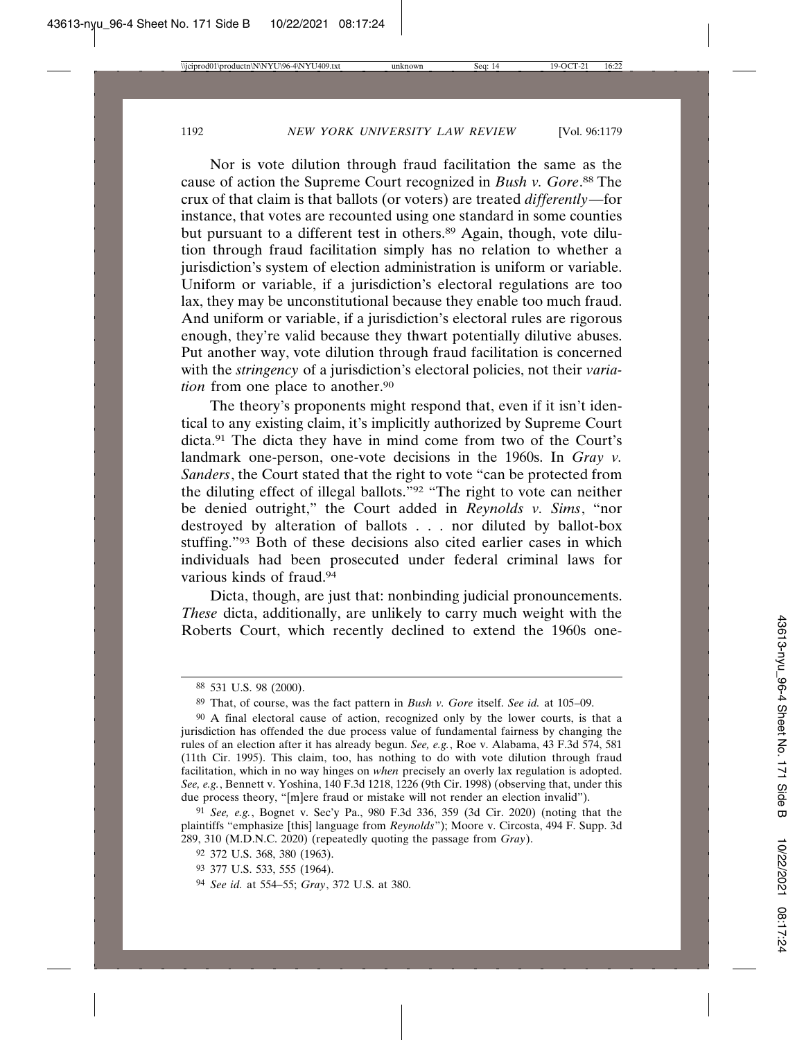Nor is vote dilution through fraud facilitation the same as the cause of action the Supreme Court recognized in *Bush v. Gore*. 88 The crux of that claim is that ballots (or voters) are treated *differently*—for instance, that votes are recounted using one standard in some counties but pursuant to a different test in others.<sup>89</sup> Again, though, vote dilution through fraud facilitation simply has no relation to whether a jurisdiction's system of election administration is uniform or variable. Uniform or variable, if a jurisdiction's electoral regulations are too lax, they may be unconstitutional because they enable too much fraud. And uniform or variable, if a jurisdiction's electoral rules are rigorous enough, they're valid because they thwart potentially dilutive abuses. Put another way, vote dilution through fraud facilitation is concerned with the *stringency* of a jurisdiction's electoral policies, not their *variation* from one place to another.<sup>90</sup>

The theory's proponents might respond that, even if it isn't identical to any existing claim, it's implicitly authorized by Supreme Court dicta.91 The dicta they have in mind come from two of the Court's landmark one-person, one-vote decisions in the 1960s. In *Gray v. Sanders*, the Court stated that the right to vote "can be protected from the diluting effect of illegal ballots."92 "The right to vote can neither be denied outright," the Court added in *Reynolds v. Sims*, "nor destroyed by alteration of ballots . . . nor diluted by ballot-box stuffing."93 Both of these decisions also cited earlier cases in which individuals had been prosecuted under federal criminal laws for various kinds of fraud.94

Dicta, though, are just that: nonbinding judicial pronouncements. *These* dicta, additionally, are unlikely to carry much weight with the Roberts Court, which recently declined to extend the 1960s one-

- 93 377 U.S. 533, 555 (1964).
- 94 *See id.* at 554–55; *Gray*, 372 U.S. at 380.

<sup>88</sup> 531 U.S. 98 (2000).

<sup>89</sup> That, of course, was the fact pattern in *Bush v. Gore* itself. *See id.* at 105–09.

<sup>90</sup> A final electoral cause of action, recognized only by the lower courts, is that a jurisdiction has offended the due process value of fundamental fairness by changing the rules of an election after it has already begun. *See, e.g.*, Roe v. Alabama, 43 F.3d 574, 581 (11th Cir. 1995). This claim, too, has nothing to do with vote dilution through fraud facilitation, which in no way hinges on *when* precisely an overly lax regulation is adopted. *See, e.g.*, Bennett v. Yoshina, 140 F.3d 1218, 1226 (9th Cir. 1998) (observing that, under this due process theory, "[m]ere fraud or mistake will not render an election invalid").

<sup>91</sup> *See, e.g.*, Bognet v. Sec'y Pa., 980 F.3d 336, 359 (3d Cir. 2020) (noting that the plaintiffs "emphasize [this] language from *Reynolds*"); Moore v. Circosta, 494 F. Supp. 3d 289, 310 (M.D.N.C. 2020) (repeatedly quoting the passage from *Gray*).

<sup>92</sup> 372 U.S. 368, 380 (1963).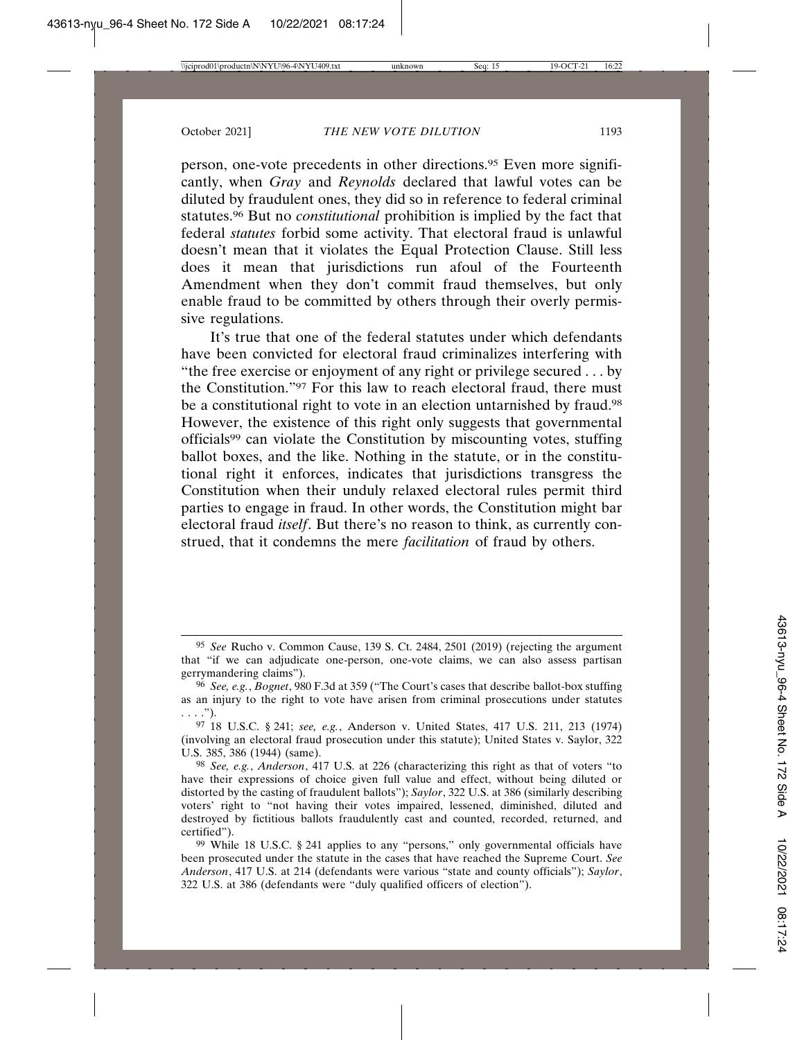person, one-vote precedents in other directions.95 Even more significantly, when *Gray* and *Reynolds* declared that lawful votes can be diluted by fraudulent ones, they did so in reference to federal criminal statutes.96 But no *constitutional* prohibition is implied by the fact that federal *statutes* forbid some activity. That electoral fraud is unlawful doesn't mean that it violates the Equal Protection Clause. Still less does it mean that jurisdictions run afoul of the Fourteenth Amendment when they don't commit fraud themselves, but only enable fraud to be committed by others through their overly permissive regulations.

It's true that one of the federal statutes under which defendants have been convicted for electoral fraud criminalizes interfering with "the free exercise or enjoyment of any right or privilege secured . . . by the Constitution."97 For this law to reach electoral fraud, there must be a constitutional right to vote in an election untarnished by fraud.98 However, the existence of this right only suggests that governmental officials99 can violate the Constitution by miscounting votes, stuffing ballot boxes, and the like. Nothing in the statute, or in the constitutional right it enforces, indicates that jurisdictions transgress the Constitution when their unduly relaxed electoral rules permit third parties to engage in fraud. In other words, the Constitution might bar electoral fraud *itself*. But there's no reason to think, as currently construed, that it condemns the mere *facilitation* of fraud by others.

<sup>95</sup> *See* Rucho v. Common Cause, 139 S. Ct. 2484, 2501 (2019) (rejecting the argument that "if we can adjudicate one-person, one-vote claims, we can also assess partisan gerrymandering claims").

<sup>96</sup> *See, e.g.*, *Bognet*, 980 F.3d at 359 ("The Court's cases that describe ballot-box stuffing as an injury to the right to vote have arisen from criminal prosecutions under statutes  $\ldots$ .").

<sup>97</sup> 18 U.S.C. § 241; *see, e.g.*, Anderson v. United States, 417 U.S. 211, 213 (1974) (involving an electoral fraud prosecution under this statute); United States v. Saylor, 322 U.S. 385, 386 (1944) (same).

<sup>98</sup> *See, e.g.*, *Anderson*, 417 U.S. at 226 (characterizing this right as that of voters "to have their expressions of choice given full value and effect, without being diluted or distorted by the casting of fraudulent ballots"); *Saylor*, 322 U.S. at 386 (similarly describing voters' right to "not having their votes impaired, lessened, diminished, diluted and destroyed by fictitious ballots fraudulently cast and counted, recorded, returned, and certified").

<sup>99</sup> While 18 U.S.C. § 241 applies to any "persons," only governmental officials have been prosecuted under the statute in the cases that have reached the Supreme Court. *See Anderson*, 417 U.S. at 214 (defendants were various "state and county officials"); *Saylor*, 322 U.S. at 386 (defendants were "duly qualified officers of election").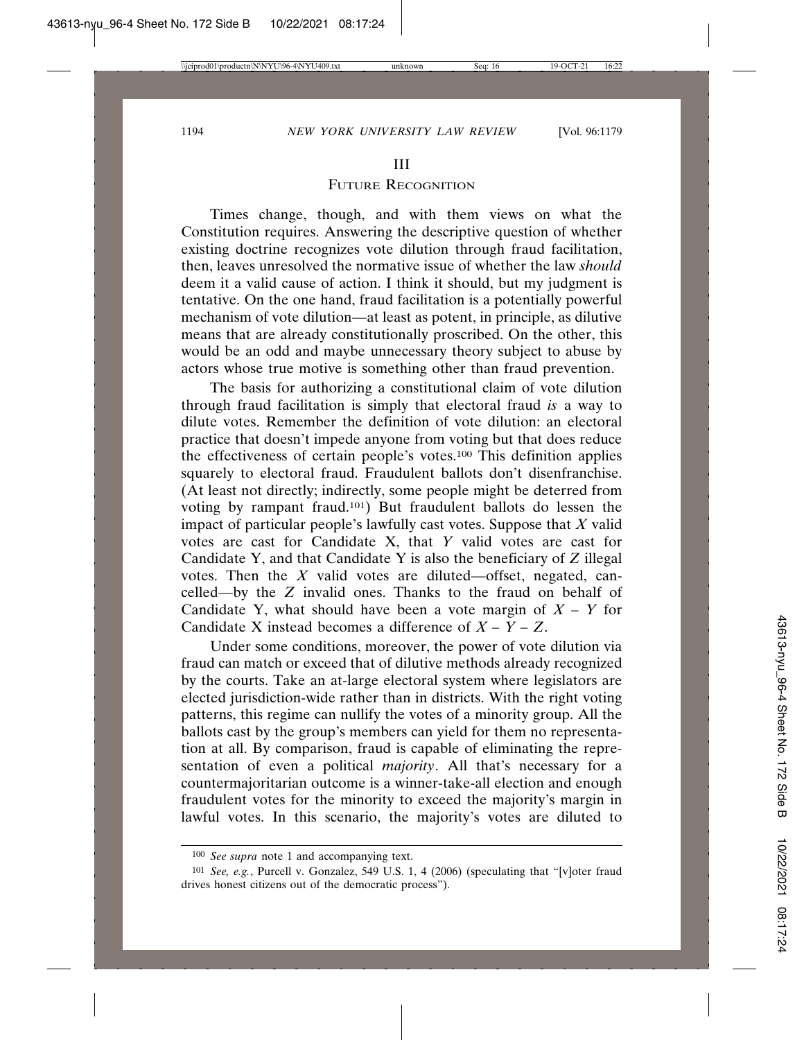### III

# FUTURE RECOGNITION

Times change, though, and with them views on what the Constitution requires. Answering the descriptive question of whether existing doctrine recognizes vote dilution through fraud facilitation, then, leaves unresolved the normative issue of whether the law *should* deem it a valid cause of action. I think it should, but my judgment is tentative. On the one hand, fraud facilitation is a potentially powerful mechanism of vote dilution—at least as potent, in principle, as dilutive means that are already constitutionally proscribed. On the other, this would be an odd and maybe unnecessary theory subject to abuse by actors whose true motive is something other than fraud prevention.

The basis for authorizing a constitutional claim of vote dilution through fraud facilitation is simply that electoral fraud *is* a way to dilute votes. Remember the definition of vote dilution: an electoral practice that doesn't impede anyone from voting but that does reduce the effectiveness of certain people's votes.100 This definition applies squarely to electoral fraud. Fraudulent ballots don't disenfranchise. (At least not directly; indirectly, some people might be deterred from voting by rampant fraud.101) But fraudulent ballots do lessen the impact of particular people's lawfully cast votes. Suppose that *X* valid votes are cast for Candidate X, that *Y* valid votes are cast for Candidate Y, and that Candidate Y is also the beneficiary of *Z* illegal votes. Then the *X* valid votes are diluted—offset, negated, cancelled—by the *Z* invalid ones. Thanks to the fraud on behalf of Candidate Y, what should have been a vote margin of *X – Y* for Candidate X instead becomes a difference of  $X - \overline{Y} - Z$ .

Under some conditions, moreover, the power of vote dilution via fraud can match or exceed that of dilutive methods already recognized by the courts. Take an at-large electoral system where legislators are elected jurisdiction-wide rather than in districts. With the right voting patterns, this regime can nullify the votes of a minority group. All the ballots cast by the group's members can yield for them no representation at all. By comparison, fraud is capable of eliminating the representation of even a political *majority*. All that's necessary for a countermajoritarian outcome is a winner-take-all election and enough fraudulent votes for the minority to exceed the majority's margin in lawful votes. In this scenario, the majority's votes are diluted to

<sup>100</sup> *See supra* note 1 and accompanying text.

<sup>101</sup> *See, e.g.*, Purcell v. Gonzalez, 549 U.S. 1, 4 (2006) (speculating that "[v]oter fraud drives honest citizens out of the democratic process").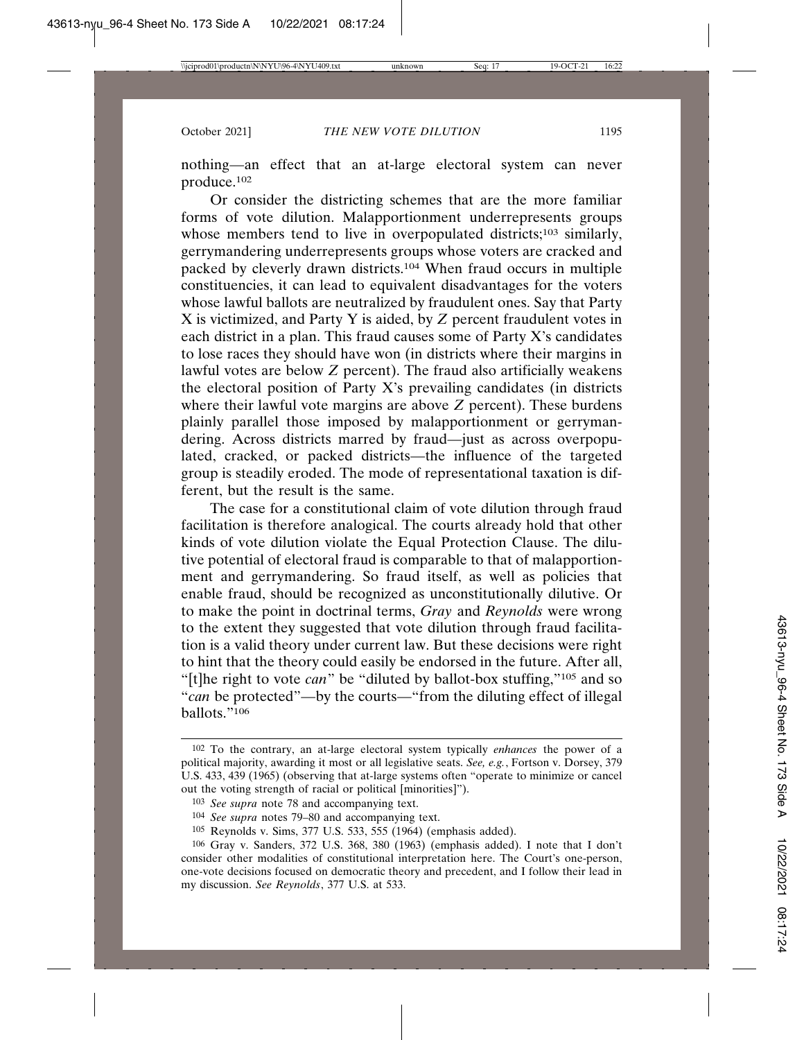nothing—an effect that an at-large electoral system can never produce.102

Or consider the districting schemes that are the more familiar forms of vote dilution. Malapportionment underrepresents groups whose members tend to live in overpopulated districts;<sup>103</sup> similarly, gerrymandering underrepresents groups whose voters are cracked and packed by cleverly drawn districts.104 When fraud occurs in multiple constituencies, it can lead to equivalent disadvantages for the voters whose lawful ballots are neutralized by fraudulent ones. Say that Party X is victimized, and Party Y is aided, by *Z* percent fraudulent votes in each district in a plan. This fraud causes some of Party X's candidates to lose races they should have won (in districts where their margins in lawful votes are below *Z* percent). The fraud also artificially weakens the electoral position of Party X's prevailing candidates (in districts where their lawful vote margins are above *Z* percent). These burdens plainly parallel those imposed by malapportionment or gerrymandering. Across districts marred by fraud—just as across overpopulated, cracked, or packed districts—the influence of the targeted group is steadily eroded. The mode of representational taxation is different, but the result is the same.

The case for a constitutional claim of vote dilution through fraud facilitation is therefore analogical. The courts already hold that other kinds of vote dilution violate the Equal Protection Clause. The dilutive potential of electoral fraud is comparable to that of malapportionment and gerrymandering. So fraud itself, as well as policies that enable fraud, should be recognized as unconstitutionally dilutive. Or to make the point in doctrinal terms, *Gray* and *Reynolds* were wrong to the extent they suggested that vote dilution through fraud facilitation is a valid theory under current law. But these decisions were right to hint that the theory could easily be endorsed in the future. After all, "[t]he right to vote *can*" be "diluted by ballot-box stuffing,"105 and so "*can* be protected"—by the courts—"from the diluting effect of illegal ballots."106

<sup>102</sup> To the contrary, an at-large electoral system typically *enhances* the power of a political majority, awarding it most or all legislative seats. *See, e.g.*, Fortson v. Dorsey, 379 U.S. 433, 439 (1965) (observing that at-large systems often "operate to minimize or cancel out the voting strength of racial or political [minorities]").

<sup>103</sup> *See supra* note 78 and accompanying text.

<sup>104</sup> *See supra* notes 79–80 and accompanying text.

<sup>105</sup> Reynolds v. Sims, 377 U.S. 533, 555 (1964) (emphasis added).

<sup>106</sup> Gray v. Sanders, 372 U.S. 368, 380 (1963) (emphasis added). I note that I don't consider other modalities of constitutional interpretation here. The Court's one-person, one-vote decisions focused on democratic theory and precedent, and I follow their lead in my discussion. *See Reynolds*, 377 U.S. at 533.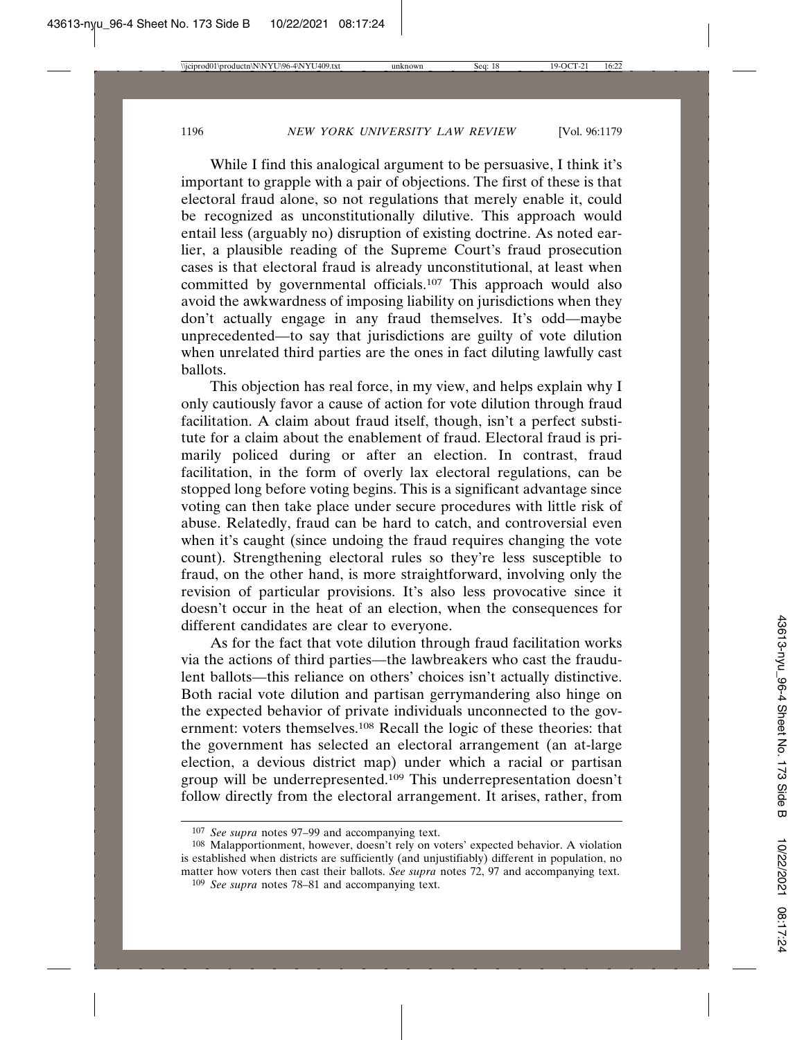While I find this analogical argument to be persuasive, I think it's important to grapple with a pair of objections. The first of these is that electoral fraud alone, so not regulations that merely enable it, could be recognized as unconstitutionally dilutive. This approach would entail less (arguably no) disruption of existing doctrine. As noted earlier, a plausible reading of the Supreme Court's fraud prosecution cases is that electoral fraud is already unconstitutional, at least when committed by governmental officials.<sup>107</sup> This approach would also avoid the awkwardness of imposing liability on jurisdictions when they don't actually engage in any fraud themselves. It's odd—maybe unprecedented—to say that jurisdictions are guilty of vote dilution when unrelated third parties are the ones in fact diluting lawfully cast ballots.

This objection has real force, in my view, and helps explain why I only cautiously favor a cause of action for vote dilution through fraud facilitation. A claim about fraud itself, though, isn't a perfect substitute for a claim about the enablement of fraud. Electoral fraud is primarily policed during or after an election. In contrast, fraud facilitation, in the form of overly lax electoral regulations, can be stopped long before voting begins. This is a significant advantage since voting can then take place under secure procedures with little risk of abuse. Relatedly, fraud can be hard to catch, and controversial even when it's caught (since undoing the fraud requires changing the vote count). Strengthening electoral rules so they're less susceptible to fraud, on the other hand, is more straightforward, involving only the revision of particular provisions. It's also less provocative since it doesn't occur in the heat of an election, when the consequences for different candidates are clear to everyone.

As for the fact that vote dilution through fraud facilitation works via the actions of third parties—the lawbreakers who cast the fraudulent ballots—this reliance on others' choices isn't actually distinctive. Both racial vote dilution and partisan gerrymandering also hinge on the expected behavior of private individuals unconnected to the government: voters themselves.108 Recall the logic of these theories: that the government has selected an electoral arrangement (an at-large election, a devious district map) under which a racial or partisan group will be underrepresented.<sup>109</sup> This underrepresentation doesn't follow directly from the electoral arrangement. It arises, rather, from

<sup>107</sup> *See supra* notes 97–99 and accompanying text.

<sup>108</sup> Malapportionment, however, doesn't rely on voters' expected behavior. A violation is established when districts are sufficiently (and unjustifiably) different in population, no matter how voters then cast their ballots. *See supra* notes 72, 97 and accompanying text.

<sup>109</sup> *See supra* notes 78–81 and accompanying text.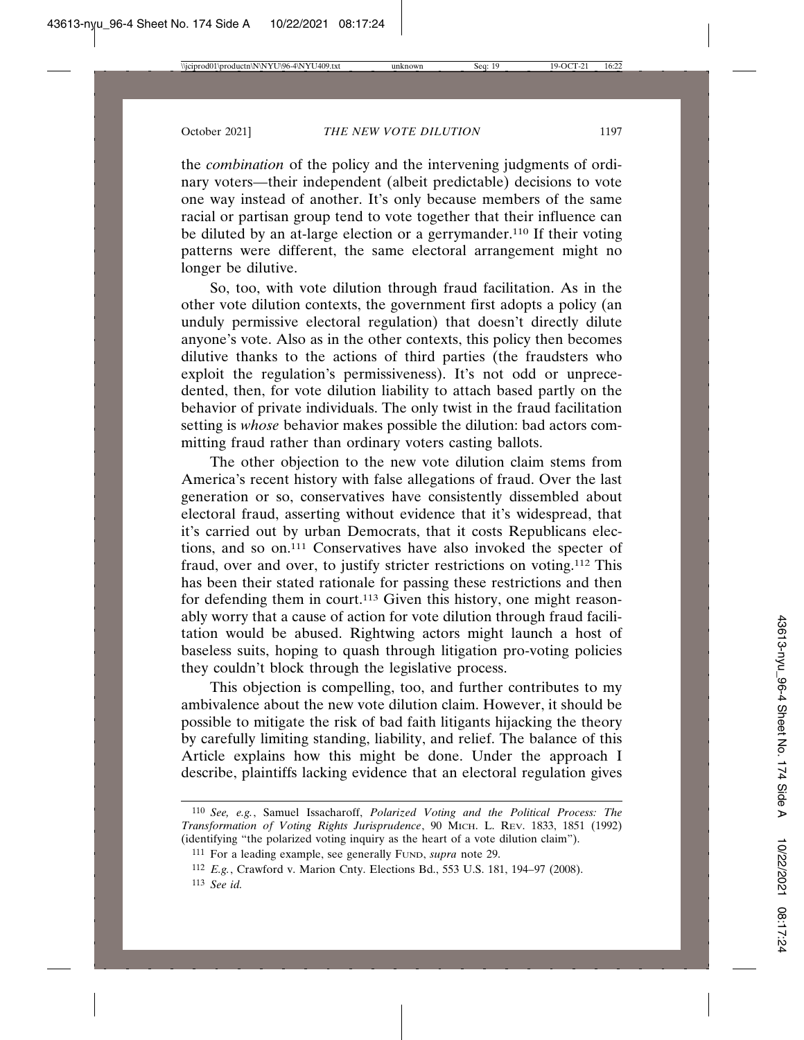the *combination* of the policy and the intervening judgments of ordinary voters—their independent (albeit predictable) decisions to vote one way instead of another. It's only because members of the same racial or partisan group tend to vote together that their influence can be diluted by an at-large election or a gerrymander.110 If their voting patterns were different, the same electoral arrangement might no longer be dilutive.

So, too, with vote dilution through fraud facilitation. As in the other vote dilution contexts, the government first adopts a policy (an unduly permissive electoral regulation) that doesn't directly dilute anyone's vote. Also as in the other contexts, this policy then becomes dilutive thanks to the actions of third parties (the fraudsters who exploit the regulation's permissiveness). It's not odd or unprecedented, then, for vote dilution liability to attach based partly on the behavior of private individuals. The only twist in the fraud facilitation setting is *whose* behavior makes possible the dilution: bad actors committing fraud rather than ordinary voters casting ballots.

The other objection to the new vote dilution claim stems from America's recent history with false allegations of fraud. Over the last generation or so, conservatives have consistently dissembled about electoral fraud, asserting without evidence that it's widespread, that it's carried out by urban Democrats, that it costs Republicans elections, and so on.111 Conservatives have also invoked the specter of fraud, over and over, to justify stricter restrictions on voting.112 This has been their stated rationale for passing these restrictions and then for defending them in court.<sup>113</sup> Given this history, one might reasonably worry that a cause of action for vote dilution through fraud facilitation would be abused. Rightwing actors might launch a host of baseless suits, hoping to quash through litigation pro-voting policies they couldn't block through the legislative process.

This objection is compelling, too, and further contributes to my ambivalence about the new vote dilution claim. However, it should be possible to mitigate the risk of bad faith litigants hijacking the theory by carefully limiting standing, liability, and relief. The balance of this Article explains how this might be done. Under the approach I describe, plaintiffs lacking evidence that an electoral regulation gives

<sup>110</sup> *See, e.g.*, Samuel Issacharoff, *Polarized Voting and the Political Process: The Transformation of Voting Rights Jurisprudence*, 90 MICH. L. REV. 1833, 1851 (1992) (identifying "the polarized voting inquiry as the heart of a vote dilution claim").

<sup>111</sup> For a leading example, see generally FUND, *supra* note 29.

<sup>112</sup> *E.g.*, Crawford v. Marion Cnty. Elections Bd., 553 U.S. 181, 194–97 (2008).

<sup>113</sup> *See id.*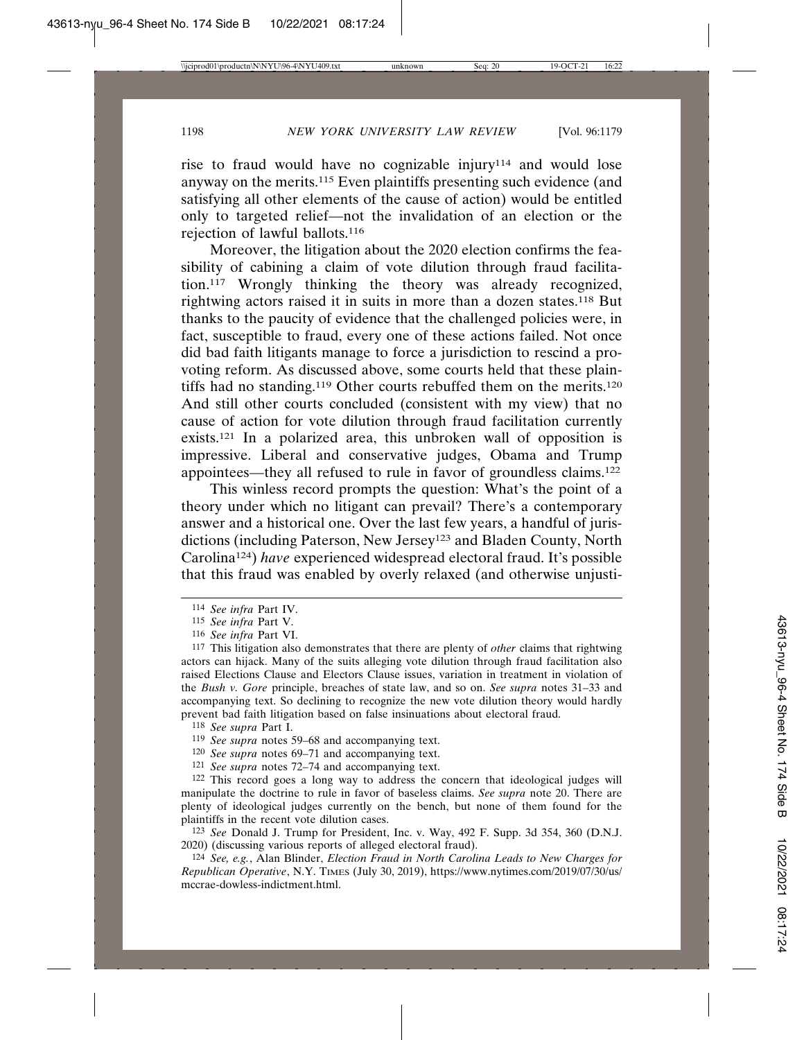rise to fraud would have no cognizable injury114 and would lose anyway on the merits.115 Even plaintiffs presenting such evidence (and satisfying all other elements of the cause of action) would be entitled only to targeted relief—not the invalidation of an election or the rejection of lawful ballots.116

Moreover, the litigation about the 2020 election confirms the feasibility of cabining a claim of vote dilution through fraud facilitation.117 Wrongly thinking the theory was already recognized, rightwing actors raised it in suits in more than a dozen states.118 But thanks to the paucity of evidence that the challenged policies were, in fact, susceptible to fraud, every one of these actions failed. Not once did bad faith litigants manage to force a jurisdiction to rescind a provoting reform. As discussed above, some courts held that these plaintiffs had no standing.<sup>119</sup> Other courts rebuffed them on the merits.<sup>120</sup> And still other courts concluded (consistent with my view) that no cause of action for vote dilution through fraud facilitation currently exists.121 In a polarized area, this unbroken wall of opposition is impressive. Liberal and conservative judges, Obama and Trump appointees—they all refused to rule in favor of groundless claims.122

This winless record prompts the question: What's the point of a theory under which no litigant can prevail? There's a contemporary answer and a historical one. Over the last few years, a handful of jurisdictions (including Paterson, New Jersey<sup>123</sup> and Bladen County, North Carolina124) *have* experienced widespread electoral fraud. It's possible that this fraud was enabled by overly relaxed (and otherwise unjusti-

- 118 *See supra* Part I.
- 119 *See supra* notes 59–68 and accompanying text.
- 120 *See supra* notes 69–71 and accompanying text.
- 121 *See supra* notes 72–74 and accompanying text.

122 This record goes a long way to address the concern that ideological judges will manipulate the doctrine to rule in favor of baseless claims. *See supra* note 20. There are plenty of ideological judges currently on the bench, but none of them found for the plaintiffs in the recent vote dilution cases.

123 *See* Donald J. Trump for President, Inc. v. Way, 492 F. Supp. 3d 354, 360 (D.N.J. 2020) (discussing various reports of alleged electoral fraud).

124 *See, e.g.*, Alan Blinder, *Election Fraud in North Carolina Leads to New Charges for Republican Operative*, N.Y. TIMES (July 30, 2019), https://www.nytimes.com/2019/07/30/us/ mccrae-dowless-indictment.html.

<sup>114</sup> *See infra* Part IV.

<sup>115</sup> *See infra* Part V.

<sup>116</sup> *See infra* Part VI.

<sup>117</sup> This litigation also demonstrates that there are plenty of *other* claims that rightwing actors can hijack. Many of the suits alleging vote dilution through fraud facilitation also raised Elections Clause and Electors Clause issues, variation in treatment in violation of the *Bush v. Gore* principle, breaches of state law, and so on. *See supra* notes 31–33 and accompanying text. So declining to recognize the new vote dilution theory would hardly prevent bad faith litigation based on false insinuations about electoral fraud.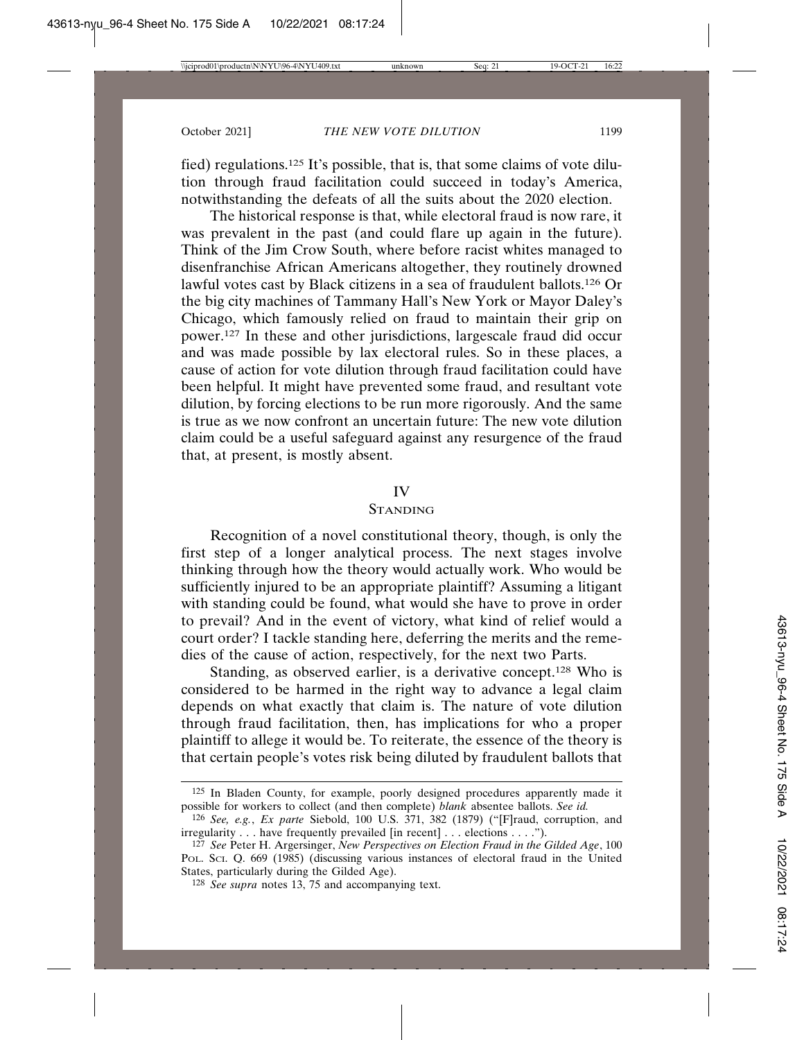fied) regulations.125 It's possible, that is, that some claims of vote dilution through fraud facilitation could succeed in today's America, notwithstanding the defeats of all the suits about the 2020 election.

The historical response is that, while electoral fraud is now rare, it was prevalent in the past (and could flare up again in the future). Think of the Jim Crow South, where before racist whites managed to disenfranchise African Americans altogether, they routinely drowned lawful votes cast by Black citizens in a sea of fraudulent ballots.126 Or the big city machines of Tammany Hall's New York or Mayor Daley's Chicago, which famously relied on fraud to maintain their grip on power.127 In these and other jurisdictions, largescale fraud did occur and was made possible by lax electoral rules. So in these places, a cause of action for vote dilution through fraud facilitation could have been helpful. It might have prevented some fraud, and resultant vote dilution, by forcing elections to be run more rigorously. And the same is true as we now confront an uncertain future: The new vote dilution claim could be a useful safeguard against any resurgence of the fraud that, at present, is mostly absent.

### IV

## STANDING

Recognition of a novel constitutional theory, though, is only the first step of a longer analytical process. The next stages involve thinking through how the theory would actually work. Who would be sufficiently injured to be an appropriate plaintiff? Assuming a litigant with standing could be found, what would she have to prove in order to prevail? And in the event of victory, what kind of relief would a court order? I tackle standing here, deferring the merits and the remedies of the cause of action, respectively, for the next two Parts.

Standing, as observed earlier, is a derivative concept.128 Who is considered to be harmed in the right way to advance a legal claim depends on what exactly that claim is. The nature of vote dilution through fraud facilitation, then, has implications for who a proper plaintiff to allege it would be. To reiterate, the essence of the theory is that certain people's votes risk being diluted by fraudulent ballots that

<sup>125</sup> In Bladen County, for example, poorly designed procedures apparently made it possible for workers to collect (and then complete) *blank* absentee ballots. *See id.*

<sup>126</sup> *See, e.g.*, *Ex parte* Siebold, 100 U.S. 371, 382 (1879) ("[F]raud, corruption, and irregularity . . . have frequently prevailed [in recent] . . . elections . . . .").

<sup>127</sup> *See* Peter H. Argersinger, *New Perspectives on Election Fraud in the Gilded Age*, 100 POL. SCI. Q. 669 (1985) (discussing various instances of electoral fraud in the United States, particularly during the Gilded Age).

<sup>128</sup> *See supra* notes 13, 75 and accompanying text.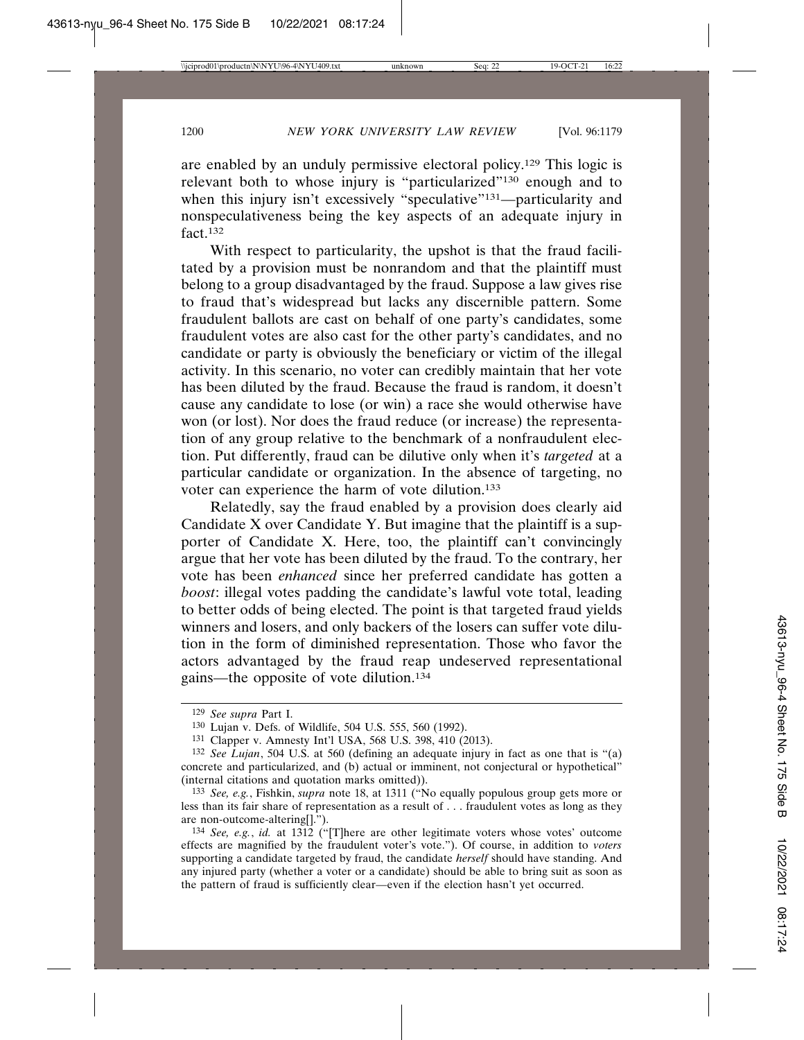are enabled by an unduly permissive electoral policy.129 This logic is relevant both to whose injury is "particularized"130 enough and to when this injury isn't excessively "speculative"<sup>131</sup>—particularity and nonspeculativeness being the key aspects of an adequate injury in fact.132

With respect to particularity, the upshot is that the fraud facilitated by a provision must be nonrandom and that the plaintiff must belong to a group disadvantaged by the fraud. Suppose a law gives rise to fraud that's widespread but lacks any discernible pattern. Some fraudulent ballots are cast on behalf of one party's candidates, some fraudulent votes are also cast for the other party's candidates, and no candidate or party is obviously the beneficiary or victim of the illegal activity. In this scenario, no voter can credibly maintain that her vote has been diluted by the fraud. Because the fraud is random, it doesn't cause any candidate to lose (or win) a race she would otherwise have won (or lost). Nor does the fraud reduce (or increase) the representation of any group relative to the benchmark of a nonfraudulent election. Put differently, fraud can be dilutive only when it's *targeted* at a particular candidate or organization. In the absence of targeting, no voter can experience the harm of vote dilution.133

Relatedly, say the fraud enabled by a provision does clearly aid Candidate X over Candidate Y. But imagine that the plaintiff is a supporter of Candidate X. Here, too, the plaintiff can't convincingly argue that her vote has been diluted by the fraud. To the contrary, her vote has been *enhanced* since her preferred candidate has gotten a *boost*: illegal votes padding the candidate's lawful vote total, leading to better odds of being elected. The point is that targeted fraud yields winners and losers, and only backers of the losers can suffer vote dilution in the form of diminished representation. Those who favor the actors advantaged by the fraud reap undeserved representational gains—the opposite of vote dilution.134

<sup>129</sup> *See supra* Part I.

<sup>130</sup> Lujan v. Defs. of Wildlife, 504 U.S. 555, 560 (1992).

<sup>131</sup> Clapper v. Amnesty Int'l USA, 568 U.S. 398, 410 (2013).

<sup>132</sup> *See Lujan*, 504 U.S. at 560 (defining an adequate injury in fact as one that is "(a) concrete and particularized, and (b) actual or imminent, not conjectural or hypothetical" (internal citations and quotation marks omitted)).

<sup>133</sup> *See, e.g.*, Fishkin, *supra* note 18, at 1311 ("No equally populous group gets more or less than its fair share of representation as a result of . . . fraudulent votes as long as they are non-outcome-altering[].").

<sup>134</sup> *See, e.g.*, *id.* at 1312 ("[T]here are other legitimate voters whose votes' outcome effects are magnified by the fraudulent voter's vote."). Of course, in addition to *voters* supporting a candidate targeted by fraud, the candidate *herself* should have standing. And any injured party (whether a voter or a candidate) should be able to bring suit as soon as the pattern of fraud is sufficiently clear—even if the election hasn't yet occurred.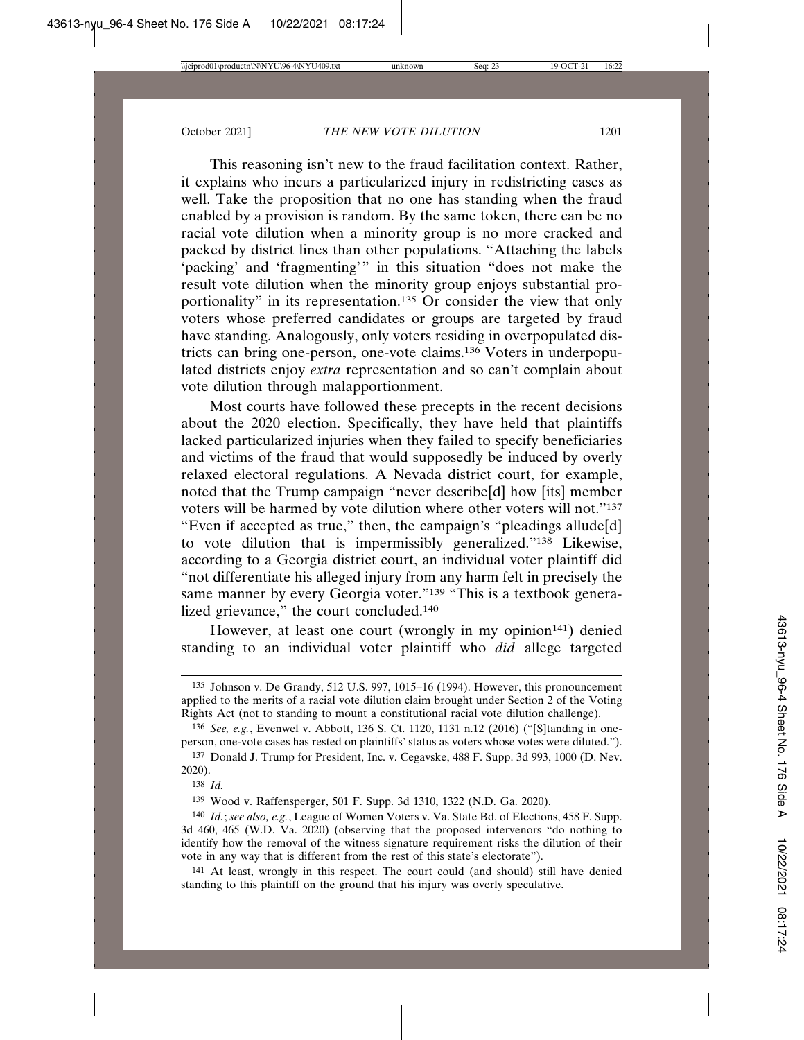This reasoning isn't new to the fraud facilitation context. Rather, it explains who incurs a particularized injury in redistricting cases as well. Take the proposition that no one has standing when the fraud enabled by a provision is random. By the same token, there can be no racial vote dilution when a minority group is no more cracked and packed by district lines than other populations. "Attaching the labels 'packing' and 'fragmenting'" in this situation "does not make the result vote dilution when the minority group enjoys substantial proportionality" in its representation.135 Or consider the view that only voters whose preferred candidates or groups are targeted by fraud have standing. Analogously, only voters residing in overpopulated districts can bring one-person, one-vote claims.136 Voters in underpopulated districts enjoy *extra* representation and so can't complain about vote dilution through malapportionment.

Most courts have followed these precepts in the recent decisions about the 2020 election. Specifically, they have held that plaintiffs lacked particularized injuries when they failed to specify beneficiaries and victims of the fraud that would supposedly be induced by overly relaxed electoral regulations. A Nevada district court, for example, noted that the Trump campaign "never describe[d] how [its] member voters will be harmed by vote dilution where other voters will not."137 "Even if accepted as true," then, the campaign's "pleadings allude[d] to vote dilution that is impermissibly generalized."138 Likewise, according to a Georgia district court, an individual voter plaintiff did "not differentiate his alleged injury from any harm felt in precisely the same manner by every Georgia voter."<sup>139</sup> "This is a textbook generalized grievance," the court concluded.<sup>140</sup>

However, at least one court (wrongly in my opinion<sup>141</sup>) denied standing to an individual voter plaintiff who *did* allege targeted

<sup>135</sup> Johnson v. De Grandy, 512 U.S. 997, 1015–16 (1994). However, this pronouncement applied to the merits of a racial vote dilution claim brought under Section 2 of the Voting Rights Act (not to standing to mount a constitutional racial vote dilution challenge).

<sup>136</sup> *See, e.g.*, Evenwel v. Abbott, 136 S. Ct. 1120, 1131 n.12 (2016) ("[S]tanding in oneperson, one-vote cases has rested on plaintiffs' status as voters whose votes were diluted.").

<sup>137</sup> Donald J. Trump for President, Inc. v. Cegavske, 488 F. Supp. 3d 993, 1000 (D. Nev. 2020).

<sup>138</sup> *Id.*

<sup>139</sup> Wood v. Raffensperger, 501 F. Supp. 3d 1310, 1322 (N.D. Ga. 2020).

<sup>140</sup> *Id.*; *see also, e.g.*, League of Women Voters v. Va. State Bd. of Elections, 458 F. Supp. 3d 460, 465 (W.D. Va. 2020) (observing that the proposed intervenors "do nothing to identify how the removal of the witness signature requirement risks the dilution of their vote in any way that is different from the rest of this state's electorate").

<sup>141</sup> At least, wrongly in this respect. The court could (and should) still have denied standing to this plaintiff on the ground that his injury was overly speculative.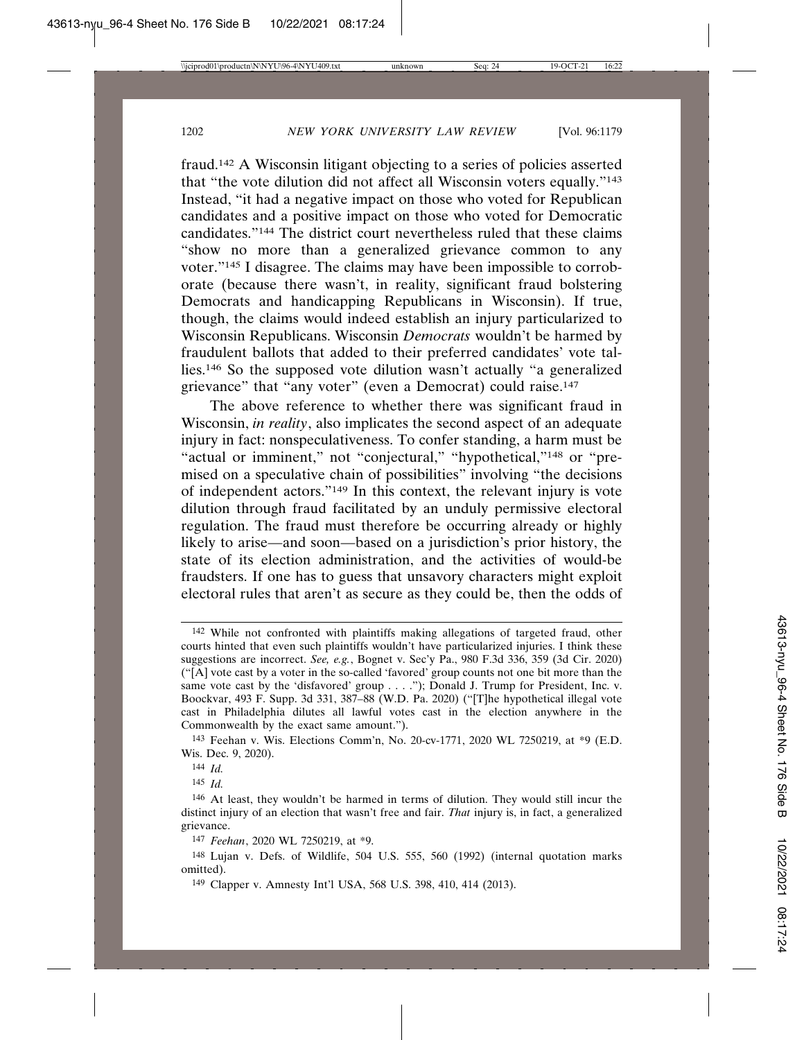fraud.142 A Wisconsin litigant objecting to a series of policies asserted that "the vote dilution did not affect all Wisconsin voters equally."143 Instead, "it had a negative impact on those who voted for Republican candidates and a positive impact on those who voted for Democratic candidates."144 The district court nevertheless ruled that these claims "show no more than a generalized grievance common to any voter."145 I disagree. The claims may have been impossible to corroborate (because there wasn't, in reality, significant fraud bolstering Democrats and handicapping Republicans in Wisconsin). If true, though, the claims would indeed establish an injury particularized to Wisconsin Republicans. Wisconsin *Democrats* wouldn't be harmed by fraudulent ballots that added to their preferred candidates' vote tallies.146 So the supposed vote dilution wasn't actually "a generalized grievance" that "any voter" (even a Democrat) could raise.<sup>147</sup>

The above reference to whether there was significant fraud in Wisconsin, *in reality*, also implicates the second aspect of an adequate injury in fact: nonspeculativeness. To confer standing, a harm must be "actual or imminent," not "conjectural," "hypothetical,"<sup>148</sup> or "premised on a speculative chain of possibilities" involving "the decisions of independent actors."149 In this context, the relevant injury is vote dilution through fraud facilitated by an unduly permissive electoral regulation. The fraud must therefore be occurring already or highly likely to arise—and soon—based on a jurisdiction's prior history, the state of its election administration, and the activities of would-be fraudsters. If one has to guess that unsavory characters might exploit electoral rules that aren't as secure as they could be, then the odds of

143 Feehan v. Wis. Elections Comm'n, No. 20-cv-1771, 2020 WL 7250219, at \*9 (E.D. Wis. Dec. 9, 2020).

145 *Id.*

<sup>142</sup> While not confronted with plaintiffs making allegations of targeted fraud, other courts hinted that even such plaintiffs wouldn't have particularized injuries. I think these suggestions are incorrect. *See, e.g.*, Bognet v. Sec'y Pa., 980 F.3d 336, 359 (3d Cir. 2020) ("[A] vote cast by a voter in the so-called 'favored' group counts not one bit more than the same vote cast by the 'disfavored' group . . . ."); Donald J. Trump for President, Inc. v. Boockvar, 493 F. Supp. 3d 331, 387–88 (W.D. Pa. 2020) ("[T]he hypothetical illegal vote cast in Philadelphia dilutes all lawful votes cast in the election anywhere in the Commonwealth by the exact same amount.").

<sup>144</sup> *Id.*

<sup>146</sup> At least, they wouldn't be harmed in terms of dilution. They would still incur the distinct injury of an election that wasn't free and fair. *That* injury is, in fact, a generalized grievance.

<sup>147</sup> *Feehan*, 2020 WL 7250219, at \*9.

<sup>148</sup> Lujan v. Defs. of Wildlife, 504 U.S. 555, 560 (1992) (internal quotation marks omitted).

<sup>149</sup> Clapper v. Amnesty Int'l USA, 568 U.S. 398, 410, 414 (2013).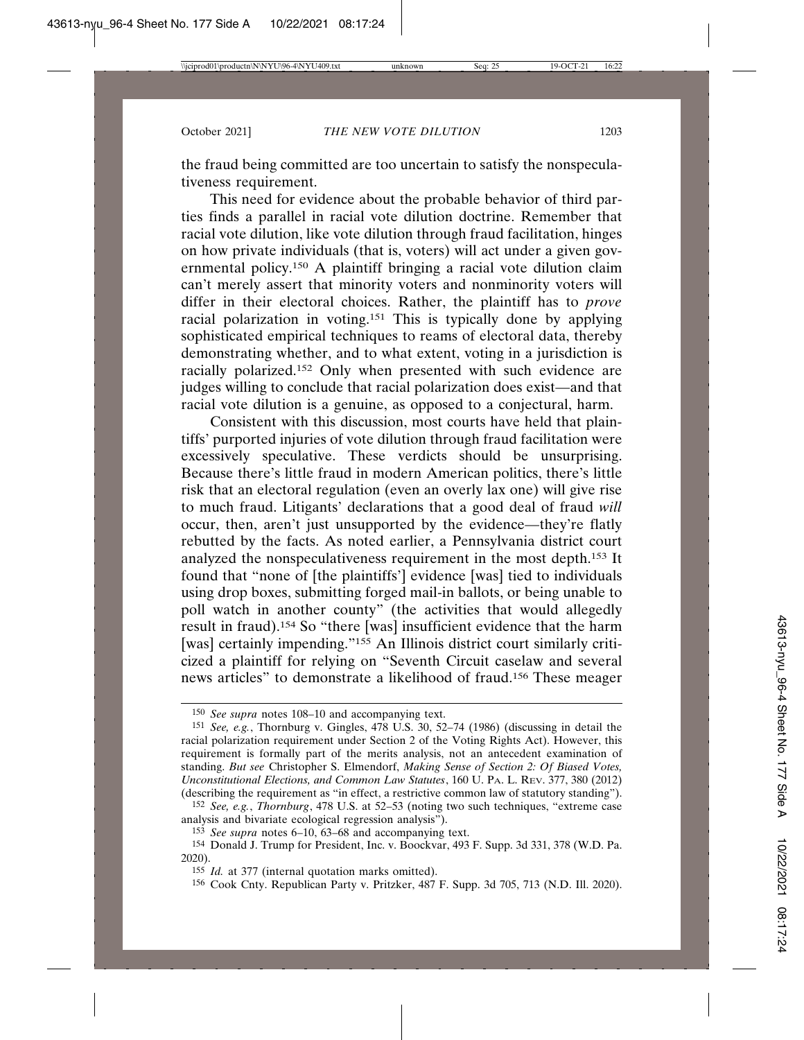the fraud being committed are too uncertain to satisfy the nonspeculativeness requirement.

This need for evidence about the probable behavior of third parties finds a parallel in racial vote dilution doctrine. Remember that racial vote dilution, like vote dilution through fraud facilitation, hinges on how private individuals (that is, voters) will act under a given governmental policy.150 A plaintiff bringing a racial vote dilution claim can't merely assert that minority voters and nonminority voters will differ in their electoral choices. Rather, the plaintiff has to *prove* racial polarization in voting.151 This is typically done by applying sophisticated empirical techniques to reams of electoral data, thereby demonstrating whether, and to what extent, voting in a jurisdiction is racially polarized.152 Only when presented with such evidence are judges willing to conclude that racial polarization does exist—and that racial vote dilution is a genuine, as opposed to a conjectural, harm.

Consistent with this discussion, most courts have held that plaintiffs' purported injuries of vote dilution through fraud facilitation were excessively speculative. These verdicts should be unsurprising. Because there's little fraud in modern American politics, there's little risk that an electoral regulation (even an overly lax one) will give rise to much fraud. Litigants' declarations that a good deal of fraud *will* occur, then, aren't just unsupported by the evidence—they're flatly rebutted by the facts. As noted earlier, a Pennsylvania district court analyzed the nonspeculativeness requirement in the most depth.153 It found that "none of [the plaintiffs'] evidence [was] tied to individuals using drop boxes, submitting forged mail-in ballots, or being unable to poll watch in another county" (the activities that would allegedly result in fraud).154 So "there [was] insufficient evidence that the harm [was] certainly impending."<sup>155</sup> An Illinois district court similarly criticized a plaintiff for relying on "Seventh Circuit caselaw and several news articles" to demonstrate a likelihood of fraud.156 These meager

156 Cook Cnty. Republican Party v. Pritzker, 487 F. Supp. 3d 705, 713 (N.D. Ill. 2020).

<sup>150</sup> *See supra* notes 108–10 and accompanying text.

<sup>151</sup> *See, e.g.*, Thornburg v. Gingles, 478 U.S. 30, 52–74 (1986) (discussing in detail the racial polarization requirement under Section 2 of the Voting Rights Act). However, this requirement is formally part of the merits analysis, not an antecedent examination of standing. *But see* Christopher S. Elmendorf, *Making Sense of Section 2: Of Biased Votes, Unconstitutional Elections, and Common Law Statutes*, 160 U. PA. L. REV. 377, 380 (2012) (describing the requirement as "in effect, a restrictive common law of statutory standing").

<sup>152</sup> *See, e.g.*, *Thornburg*, 478 U.S. at 52–53 (noting two such techniques, "extreme case analysis and bivariate ecological regression analysis").

<sup>153</sup> *See supra* notes 6–10, 63–68 and accompanying text.

<sup>154</sup> Donald J. Trump for President, Inc. v. Boockvar, 493 F. Supp. 3d 331, 378 (W.D. Pa. 2020).

<sup>155</sup> *Id.* at 377 (internal quotation marks omitted).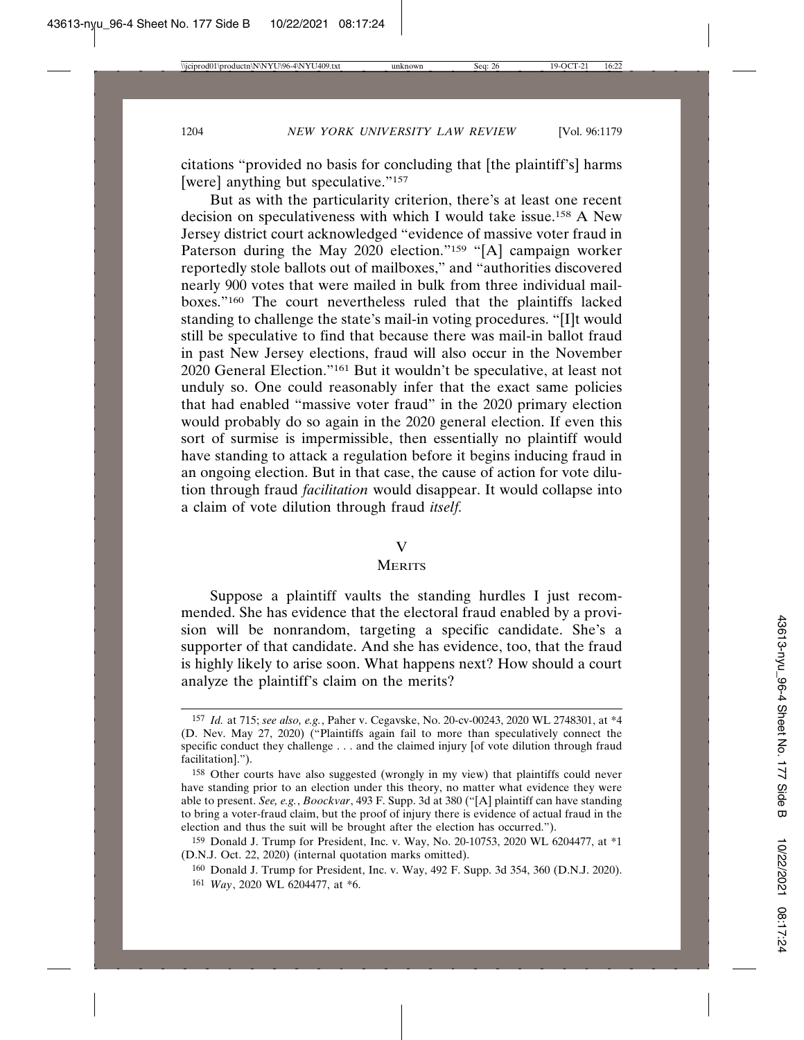citations "provided no basis for concluding that [the plaintiff's] harms [were] anything but speculative."<sup>157</sup>

But as with the particularity criterion, there's at least one recent decision on speculativeness with which I would take issue.158 A New Jersey district court acknowledged "evidence of massive voter fraud in Paterson during the May 2020 election."<sup>159</sup> "[A] campaign worker reportedly stole ballots out of mailboxes," and "authorities discovered nearly 900 votes that were mailed in bulk from three individual mailboxes."160 The court nevertheless ruled that the plaintiffs lacked standing to challenge the state's mail-in voting procedures. "[I]t would still be speculative to find that because there was mail-in ballot fraud in past New Jersey elections, fraud will also occur in the November 2020 General Election."161 But it wouldn't be speculative, at least not unduly so. One could reasonably infer that the exact same policies that had enabled "massive voter fraud" in the 2020 primary election would probably do so again in the 2020 general election. If even this sort of surmise is impermissible, then essentially no plaintiff would have standing to attack a regulation before it begins inducing fraud in an ongoing election. But in that case, the cause of action for vote dilution through fraud *facilitation* would disappear. It would collapse into a claim of vote dilution through fraud *itself.*

### V

## **MERITS**

Suppose a plaintiff vaults the standing hurdles I just recommended. She has evidence that the electoral fraud enabled by a provision will be nonrandom, targeting a specific candidate. She's a supporter of that candidate. And she has evidence, too, that the fraud is highly likely to arise soon. What happens next? How should a court analyze the plaintiff's claim on the merits?

<sup>157</sup> *Id.* at 715; *see also, e.g.*, Paher v. Cegavske, No. 20-cv-00243, 2020 WL 2748301, at \*4 (D. Nev. May 27, 2020) ("Plaintiffs again fail to more than speculatively connect the specific conduct they challenge . . . and the claimed injury [of vote dilution through fraud facilitation].").

<sup>158</sup> Other courts have also suggested (wrongly in my view) that plaintiffs could never have standing prior to an election under this theory, no matter what evidence they were able to present. *See, e.g.*, *Boockvar*, 493 F. Supp. 3d at 380 ("[A] plaintiff can have standing to bring a voter-fraud claim, but the proof of injury there is evidence of actual fraud in the election and thus the suit will be brought after the election has occurred.").

<sup>159</sup> Donald J. Trump for President, Inc. v. Way, No. 20-10753, 2020 WL 6204477, at \*1 (D.N.J. Oct. 22, 2020) (internal quotation marks omitted).

<sup>160</sup> Donald J. Trump for President, Inc. v. Way, 492 F. Supp. 3d 354, 360 (D.N.J. 2020).

<sup>161</sup> *Way*, 2020 WL 6204477, at \*6.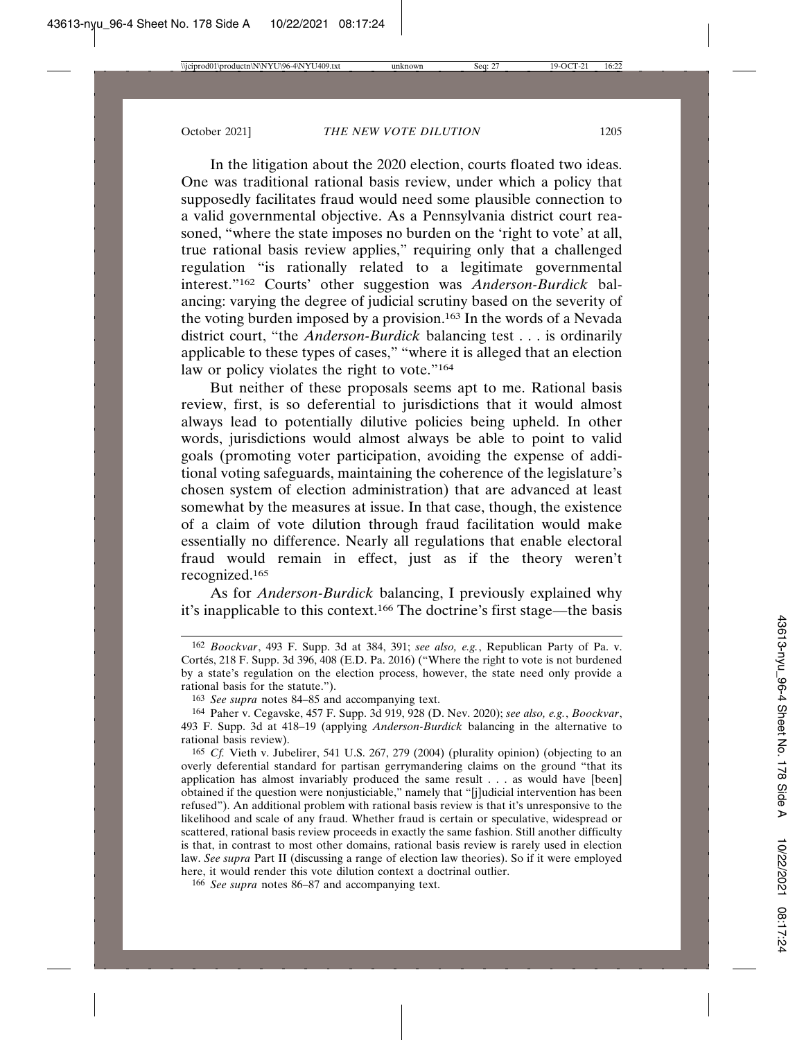In the litigation about the 2020 election, courts floated two ideas. One was traditional rational basis review, under which a policy that supposedly facilitates fraud would need some plausible connection to a valid governmental objective. As a Pennsylvania district court reasoned, "where the state imposes no burden on the 'right to vote' at all, true rational basis review applies," requiring only that a challenged regulation "is rationally related to a legitimate governmental interest."162 Courts' other suggestion was *Anderson-Burdick* balancing: varying the degree of judicial scrutiny based on the severity of the voting burden imposed by a provision.163 In the words of a Nevada district court, "the *Anderson-Burdick* balancing test . . . is ordinarily applicable to these types of cases," "where it is alleged that an election law or policy violates the right to vote."<sup>164</sup>

But neither of these proposals seems apt to me. Rational basis review, first, is so deferential to jurisdictions that it would almost always lead to potentially dilutive policies being upheld. In other words, jurisdictions would almost always be able to point to valid goals (promoting voter participation, avoiding the expense of additional voting safeguards, maintaining the coherence of the legislature's chosen system of election administration) that are advanced at least somewhat by the measures at issue. In that case, though, the existence of a claim of vote dilution through fraud facilitation would make essentially no difference. Nearly all regulations that enable electoral fraud would remain in effect, just as if the theory weren't recognized.165

As for *Anderson-Burdick* balancing, I previously explained why it's inapplicable to this context.166 The doctrine's first stage—the basis

<sup>162</sup> *Boockvar*, 493 F. Supp. 3d at 384, 391; *see also, e.g.*, Republican Party of Pa. v. Cortés, 218 F. Supp. 3d 396, 408 (E.D. Pa. 2016) ("Where the right to vote is not burdened by a state's regulation on the election process, however, the state need only provide a rational basis for the statute.").

<sup>163</sup> *See supra* notes 84–85 and accompanying text.

<sup>164</sup> Paher v. Cegavske, 457 F. Supp. 3d 919, 928 (D. Nev. 2020); *see also, e.g.*, *Boockvar*, 493 F. Supp. 3d at 418–19 (applying *Anderson-Burdick* balancing in the alternative to rational basis review).

<sup>165</sup> *Cf.* Vieth v. Jubelirer, 541 U.S. 267, 279 (2004) (plurality opinion) (objecting to an overly deferential standard for partisan gerrymandering claims on the ground "that its application has almost invariably produced the same result . . . as would have [been] obtained if the question were nonjusticiable," namely that "[j]udicial intervention has been refused"). An additional problem with rational basis review is that it's unresponsive to the likelihood and scale of any fraud. Whether fraud is certain or speculative, widespread or scattered, rational basis review proceeds in exactly the same fashion. Still another difficulty is that, in contrast to most other domains, rational basis review is rarely used in election law. *See supra* Part II (discussing a range of election law theories). So if it were employed here, it would render this vote dilution context a doctrinal outlier.

<sup>166</sup> *See supra* notes 86–87 and accompanying text.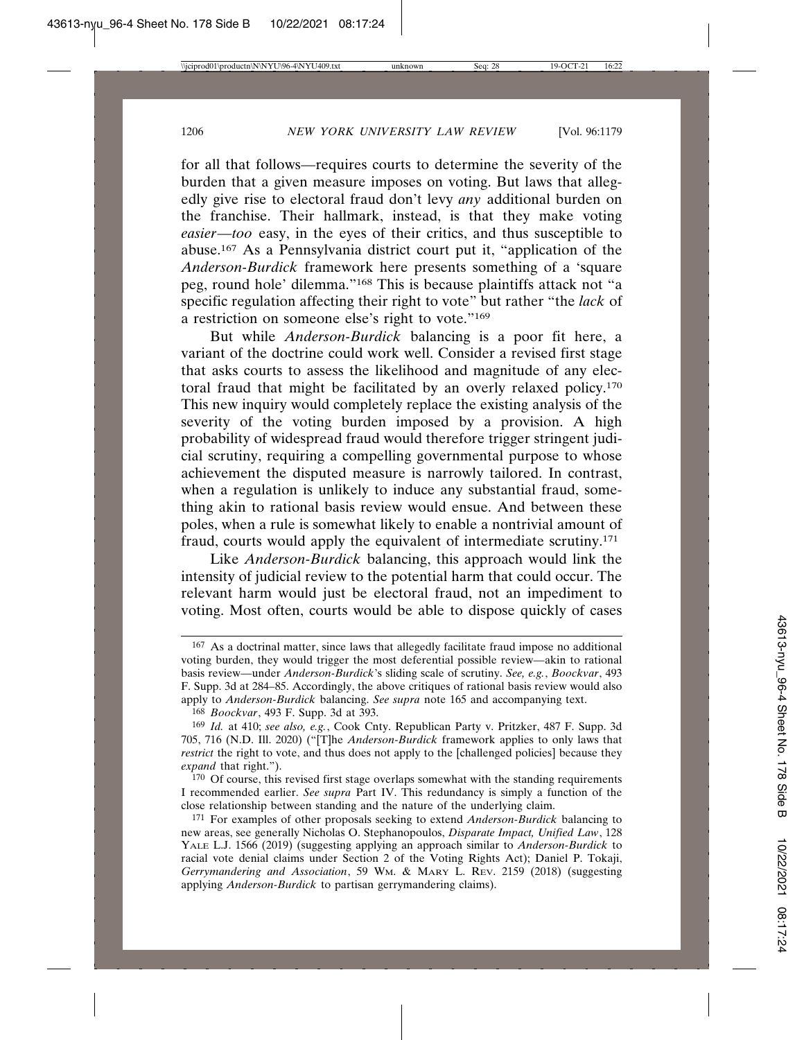for all that follows—requires courts to determine the severity of the burden that a given measure imposes on voting. But laws that allegedly give rise to electoral fraud don't levy *any* additional burden on the franchise. Their hallmark, instead, is that they make voting *easier*—*too* easy, in the eyes of their critics, and thus susceptible to abuse.167 As a Pennsylvania district court put it, "application of the *Anderson-Burdick* framework here presents something of a 'square peg, round hole' dilemma."168 This is because plaintiffs attack not "a specific regulation affecting their right to vote" but rather "the *lack* of a restriction on someone else's right to vote."169

But while *Anderson-Burdick* balancing is a poor fit here, a variant of the doctrine could work well. Consider a revised first stage that asks courts to assess the likelihood and magnitude of any electoral fraud that might be facilitated by an overly relaxed policy.170 This new inquiry would completely replace the existing analysis of the severity of the voting burden imposed by a provision. A high probability of widespread fraud would therefore trigger stringent judicial scrutiny, requiring a compelling governmental purpose to whose achievement the disputed measure is narrowly tailored. In contrast, when a regulation is unlikely to induce any substantial fraud, something akin to rational basis review would ensue. And between these poles, when a rule is somewhat likely to enable a nontrivial amount of fraud, courts would apply the equivalent of intermediate scrutiny.171

Like *Anderson-Burdick* balancing, this approach would link the intensity of judicial review to the potential harm that could occur. The relevant harm would just be electoral fraud, not an impediment to voting. Most often, courts would be able to dispose quickly of cases

170 Of course, this revised first stage overlaps somewhat with the standing requirements I recommended earlier. *See supra* Part IV. This redundancy is simply a function of the close relationship between standing and the nature of the underlying claim.

<sup>167</sup> As a doctrinal matter, since laws that allegedly facilitate fraud impose no additional voting burden, they would trigger the most deferential possible review—akin to rational basis review—under *Anderson-Burdick*'s sliding scale of scrutiny. *See, e.g.*, *Boockvar*, 493 F. Supp. 3d at 284–85. Accordingly, the above critiques of rational basis review would also apply to *Anderson-Burdick* balancing. *See supra* note 165 and accompanying text.

<sup>168</sup> *Boockvar*, 493 F. Supp. 3d at 393.

<sup>169</sup> *Id.* at 410; *see also, e.g.*, Cook Cnty. Republican Party v. Pritzker, 487 F. Supp. 3d 705, 716 (N.D. Ill. 2020) ("[T]he *Anderson-Burdick* framework applies to only laws that *restrict* the right to vote, and thus does not apply to the [challenged policies] because they *expand* that right.").

<sup>171</sup> For examples of other proposals seeking to extend *Anderson-Burdick* balancing to new areas, see generally Nicholas O. Stephanopoulos, *Disparate Impact, Unified Law*, 128 YALE L.J. 1566 (2019) (suggesting applying an approach similar to *Anderson-Burdick* to racial vote denial claims under Section 2 of the Voting Rights Act); Daniel P. Tokaji, *Gerrymandering and Association*, 59 WM. & MARY L. REV. 2159 (2018) (suggesting applying *Anderson-Burdick* to partisan gerrymandering claims).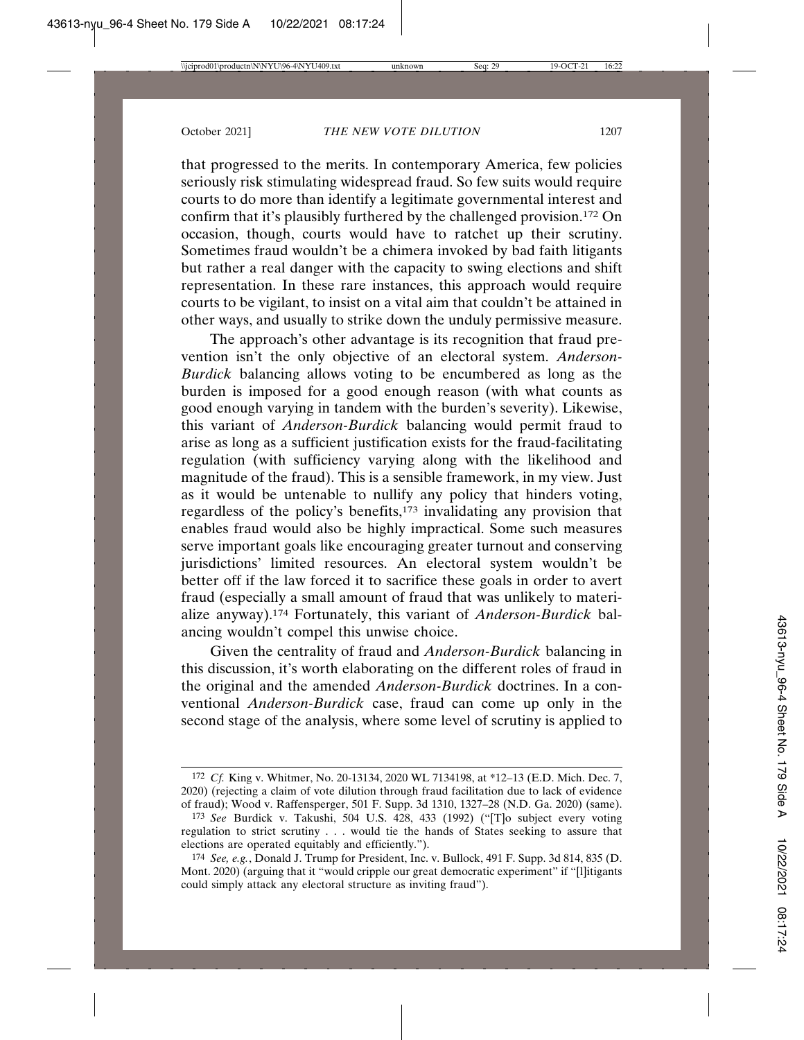that progressed to the merits. In contemporary America, few policies seriously risk stimulating widespread fraud. So few suits would require courts to do more than identify a legitimate governmental interest and confirm that it's plausibly furthered by the challenged provision.172 On occasion, though, courts would have to ratchet up their scrutiny. Sometimes fraud wouldn't be a chimera invoked by bad faith litigants but rather a real danger with the capacity to swing elections and shift representation. In these rare instances, this approach would require courts to be vigilant, to insist on a vital aim that couldn't be attained in other ways, and usually to strike down the unduly permissive measure.

The approach's other advantage is its recognition that fraud prevention isn't the only objective of an electoral system. *Anderson-Burdick* balancing allows voting to be encumbered as long as the burden is imposed for a good enough reason (with what counts as good enough varying in tandem with the burden's severity). Likewise, this variant of *Anderson-Burdick* balancing would permit fraud to arise as long as a sufficient justification exists for the fraud-facilitating regulation (with sufficiency varying along with the likelihood and magnitude of the fraud). This is a sensible framework, in my view. Just as it would be untenable to nullify any policy that hinders voting, regardless of the policy's benefits,173 invalidating any provision that enables fraud would also be highly impractical. Some such measures serve important goals like encouraging greater turnout and conserving jurisdictions' limited resources. An electoral system wouldn't be better off if the law forced it to sacrifice these goals in order to avert fraud (especially a small amount of fraud that was unlikely to materialize anyway).174 Fortunately, this variant of *Anderson-Burdick* balancing wouldn't compel this unwise choice.

Given the centrality of fraud and *Anderson-Burdick* balancing in this discussion, it's worth elaborating on the different roles of fraud in the original and the amended *Anderson-Burdick* doctrines. In a conventional *Anderson-Burdick* case, fraud can come up only in the second stage of the analysis, where some level of scrutiny is applied to

<sup>172</sup> *Cf.* King v. Whitmer, No. 20-13134, 2020 WL 7134198, at \*12–13 (E.D. Mich. Dec. 7, 2020) (rejecting a claim of vote dilution through fraud facilitation due to lack of evidence of fraud); Wood v. Raffensperger, 501 F. Supp. 3d 1310, 1327–28 (N.D. Ga. 2020) (same).

<sup>173</sup> *See* Burdick v. Takushi, 504 U.S. 428, 433 (1992) ("[T]o subject every voting regulation to strict scrutiny . . . would tie the hands of States seeking to assure that elections are operated equitably and efficiently.").

<sup>174</sup> *See, e.g.*, Donald J. Trump for President, Inc. v. Bullock, 491 F. Supp. 3d 814, 835 (D. Mont. 2020) (arguing that it "would cripple our great democratic experiment" if "[l]itigants could simply attack any electoral structure as inviting fraud").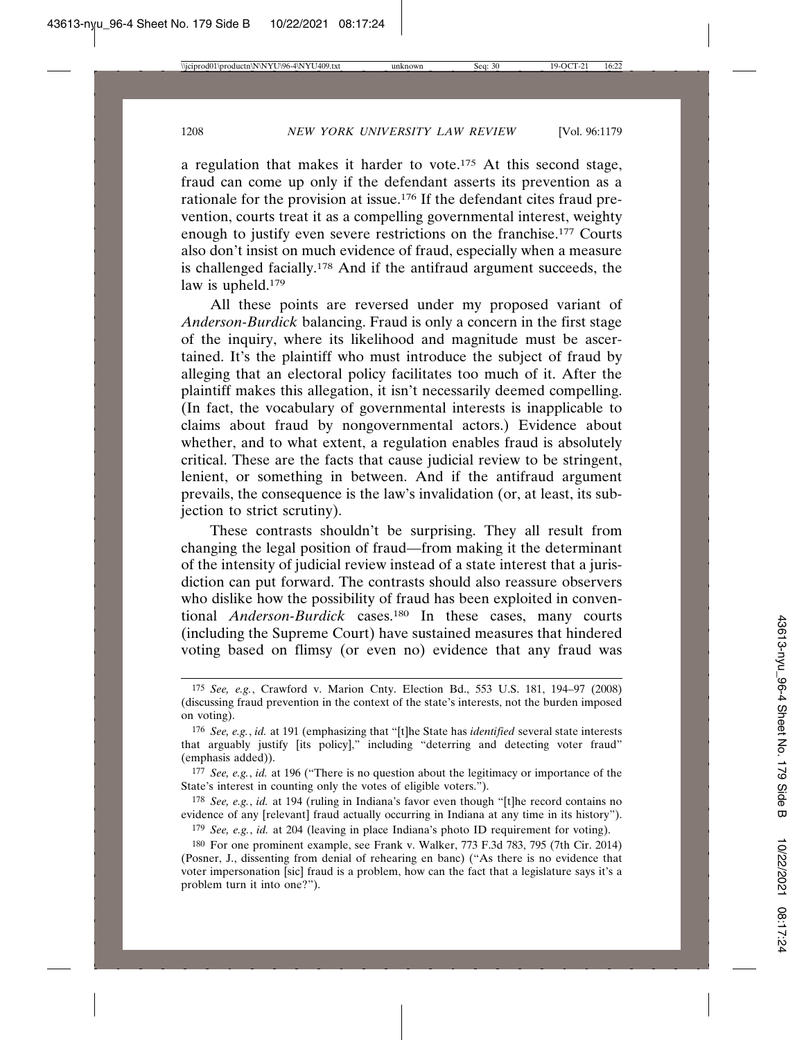a regulation that makes it harder to vote.175 At this second stage, fraud can come up only if the defendant asserts its prevention as a rationale for the provision at issue.176 If the defendant cites fraud prevention, courts treat it as a compelling governmental interest, weighty enough to justify even severe restrictions on the franchise.177 Courts also don't insist on much evidence of fraud, especially when a measure is challenged facially.178 And if the antifraud argument succeeds, the law is upheld.<sup>179</sup>

All these points are reversed under my proposed variant of *Anderson-Burdick* balancing. Fraud is only a concern in the first stage of the inquiry, where its likelihood and magnitude must be ascertained. It's the plaintiff who must introduce the subject of fraud by alleging that an electoral policy facilitates too much of it. After the plaintiff makes this allegation, it isn't necessarily deemed compelling. (In fact, the vocabulary of governmental interests is inapplicable to claims about fraud by nongovernmental actors.) Evidence about whether, and to what extent, a regulation enables fraud is absolutely critical. These are the facts that cause judicial review to be stringent, lenient, or something in between. And if the antifraud argument prevails, the consequence is the law's invalidation (or, at least, its subjection to strict scrutiny).

These contrasts shouldn't be surprising. They all result from changing the legal position of fraud—from making it the determinant of the intensity of judicial review instead of a state interest that a jurisdiction can put forward. The contrasts should also reassure observers who dislike how the possibility of fraud has been exploited in conventional *Anderson-Burdick* cases.<sup>180</sup> In these cases, many courts (including the Supreme Court) have sustained measures that hindered voting based on flimsy (or even no) evidence that any fraud was

178 *See, e.g.*, *id.* at 194 (ruling in Indiana's favor even though "[t]he record contains no evidence of any [relevant] fraud actually occurring in Indiana at any time in its history").

179 *See, e.g.*, *id.* at 204 (leaving in place Indiana's photo ID requirement for voting).

<sup>175</sup> *See, e.g.*, Crawford v. Marion Cnty. Election Bd., 553 U.S. 181, 194–97 (2008) (discussing fraud prevention in the context of the state's interests, not the burden imposed on voting).

<sup>176</sup> *See, e.g.*, *id.* at 191 (emphasizing that "[t]he State has *identified* several state interests that arguably justify [its policy]," including "deterring and detecting voter fraud" (emphasis added)).

<sup>177</sup> *See, e.g.*, *id.* at 196 ("There is no question about the legitimacy or importance of the State's interest in counting only the votes of eligible voters.").

<sup>180</sup> For one prominent example, see Frank v. Walker, 773 F.3d 783, 795 (7th Cir. 2014) (Posner, J., dissenting from denial of rehearing en banc) ("As there is no evidence that voter impersonation [sic] fraud is a problem, how can the fact that a legislature says it's a problem turn it into one?").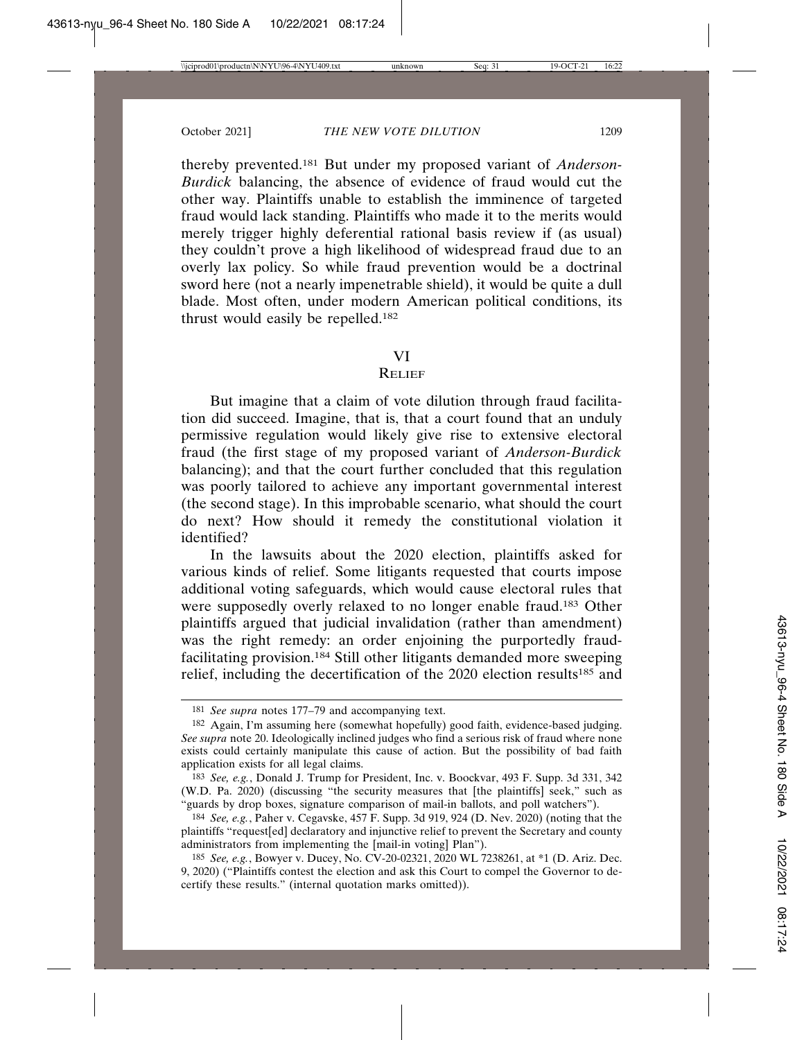thereby prevented.181 But under my proposed variant of *Anderson-Burdick* balancing, the absence of evidence of fraud would cut the other way. Plaintiffs unable to establish the imminence of targeted fraud would lack standing. Plaintiffs who made it to the merits would merely trigger highly deferential rational basis review if (as usual) they couldn't prove a high likelihood of widespread fraud due to an overly lax policy. So while fraud prevention would be a doctrinal sword here (not a nearly impenetrable shield), it would be quite a dull blade. Most often, under modern American political conditions, its thrust would easily be repelled.182

### VI

### **RELIEF**

But imagine that a claim of vote dilution through fraud facilitation did succeed. Imagine, that is, that a court found that an unduly permissive regulation would likely give rise to extensive electoral fraud (the first stage of my proposed variant of *Anderson-Burdick* balancing); and that the court further concluded that this regulation was poorly tailored to achieve any important governmental interest (the second stage). In this improbable scenario, what should the court do next? How should it remedy the constitutional violation it identified?

In the lawsuits about the 2020 election, plaintiffs asked for various kinds of relief. Some litigants requested that courts impose additional voting safeguards, which would cause electoral rules that were supposedly overly relaxed to no longer enable fraud.183 Other plaintiffs argued that judicial invalidation (rather than amendment) was the right remedy: an order enjoining the purportedly fraudfacilitating provision.184 Still other litigants demanded more sweeping relief, including the decertification of the 2020 election results<sup>185</sup> and

<sup>181</sup> *See supra* notes 177–79 and accompanying text.

<sup>182</sup> Again, I'm assuming here (somewhat hopefully) good faith, evidence-based judging. *See supra* note 20. Ideologically inclined judges who find a serious risk of fraud where none exists could certainly manipulate this cause of action. But the possibility of bad faith application exists for all legal claims.

<sup>183</sup> *See, e.g.*, Donald J. Trump for President, Inc. v. Boockvar, 493 F. Supp. 3d 331, 342 (W.D. Pa. 2020) (discussing "the security measures that [the plaintiffs] seek," such as "guards by drop boxes, signature comparison of mail-in ballots, and poll watchers").

<sup>184</sup> *See, e.g.*, Paher v. Cegavske, 457 F. Supp. 3d 919, 924 (D. Nev. 2020) (noting that the plaintiffs "request[ed] declaratory and injunctive relief to prevent the Secretary and county administrators from implementing the [mail-in voting] Plan").

<sup>185</sup> *See, e.g.*, Bowyer v. Ducey, No. CV-20-02321, 2020 WL 7238261, at \*1 (D. Ariz. Dec. 9, 2020) ("Plaintiffs contest the election and ask this Court to compel the Governor to decertify these results." (internal quotation marks omitted)).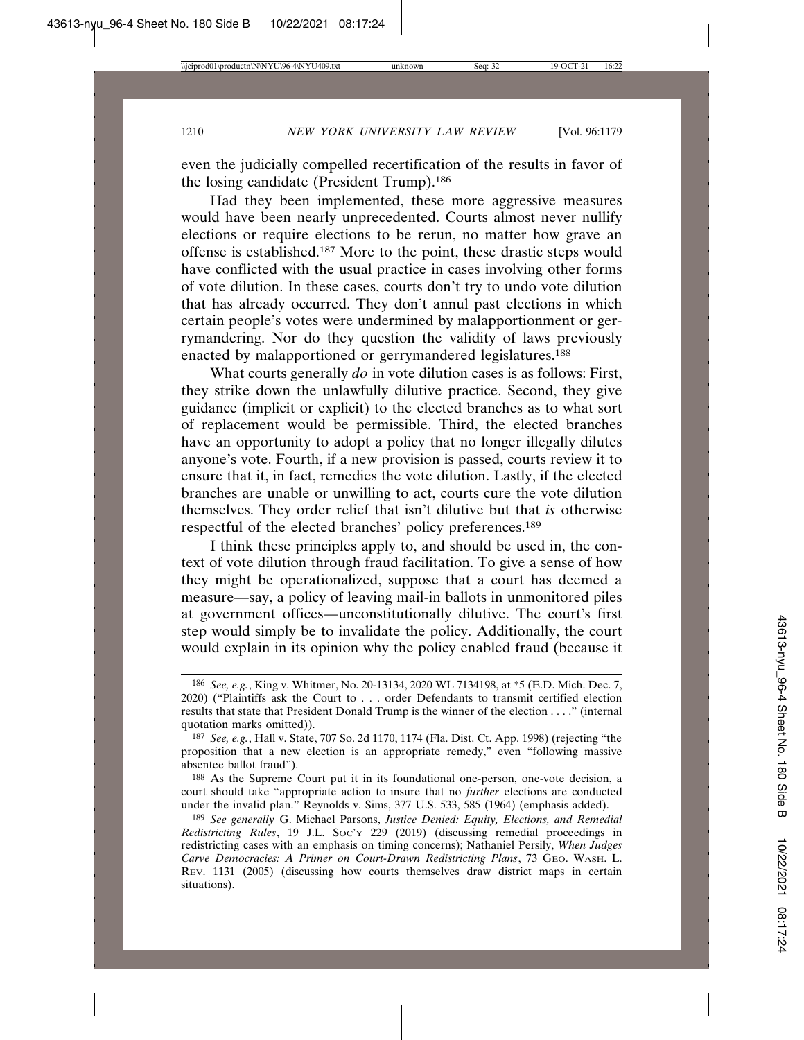even the judicially compelled recertification of the results in favor of the losing candidate (President Trump).186

Had they been implemented, these more aggressive measures would have been nearly unprecedented. Courts almost never nullify elections or require elections to be rerun, no matter how grave an offense is established.187 More to the point, these drastic steps would have conflicted with the usual practice in cases involving other forms of vote dilution. In these cases, courts don't try to undo vote dilution that has already occurred. They don't annul past elections in which certain people's votes were undermined by malapportionment or gerrymandering. Nor do they question the validity of laws previously enacted by malapportioned or gerrymandered legislatures.<sup>188</sup>

What courts generally *do* in vote dilution cases is as follows: First, they strike down the unlawfully dilutive practice. Second, they give guidance (implicit or explicit) to the elected branches as to what sort of replacement would be permissible. Third, the elected branches have an opportunity to adopt a policy that no longer illegally dilutes anyone's vote. Fourth, if a new provision is passed, courts review it to ensure that it, in fact, remedies the vote dilution. Lastly, if the elected branches are unable or unwilling to act, courts cure the vote dilution themselves. They order relief that isn't dilutive but that *is* otherwise respectful of the elected branches' policy preferences.189

I think these principles apply to, and should be used in, the context of vote dilution through fraud facilitation. To give a sense of how they might be operationalized, suppose that a court has deemed a measure—say, a policy of leaving mail-in ballots in unmonitored piles at government offices—unconstitutionally dilutive. The court's first step would simply be to invalidate the policy. Additionally, the court would explain in its opinion why the policy enabled fraud (because it

<sup>186</sup> *See, e.g.*, King v. Whitmer, No. 20-13134, 2020 WL 7134198, at \*5 (E.D. Mich. Dec. 7, 2020) ("Plaintiffs ask the Court to . . . order Defendants to transmit certified election results that state that President Donald Trump is the winner of the election . . . ." (internal quotation marks omitted)).

<sup>187</sup> *See, e.g.*, Hall v. State, 707 So. 2d 1170, 1174 (Fla. Dist. Ct. App. 1998) (rejecting "the proposition that a new election is an appropriate remedy," even "following massive absentee ballot fraud").

<sup>188</sup> As the Supreme Court put it in its foundational one-person, one-vote decision, a court should take "appropriate action to insure that no *further* elections are conducted under the invalid plan." Reynolds v. Sims, 377 U.S. 533, 585 (1964) (emphasis added).

<sup>189</sup> *See generally* G. Michael Parsons, *Justice Denied: Equity, Elections, and Remedial Redistricting Rules*, 19 J.L. SOC'Y 229 (2019) (discussing remedial proceedings in redistricting cases with an emphasis on timing concerns); Nathaniel Persily, *When Judges Carve Democracies: A Primer on Court-Drawn Redistricting Plans*, 73 GEO. WASH. L. REV. 1131 (2005) (discussing how courts themselves draw district maps in certain situations).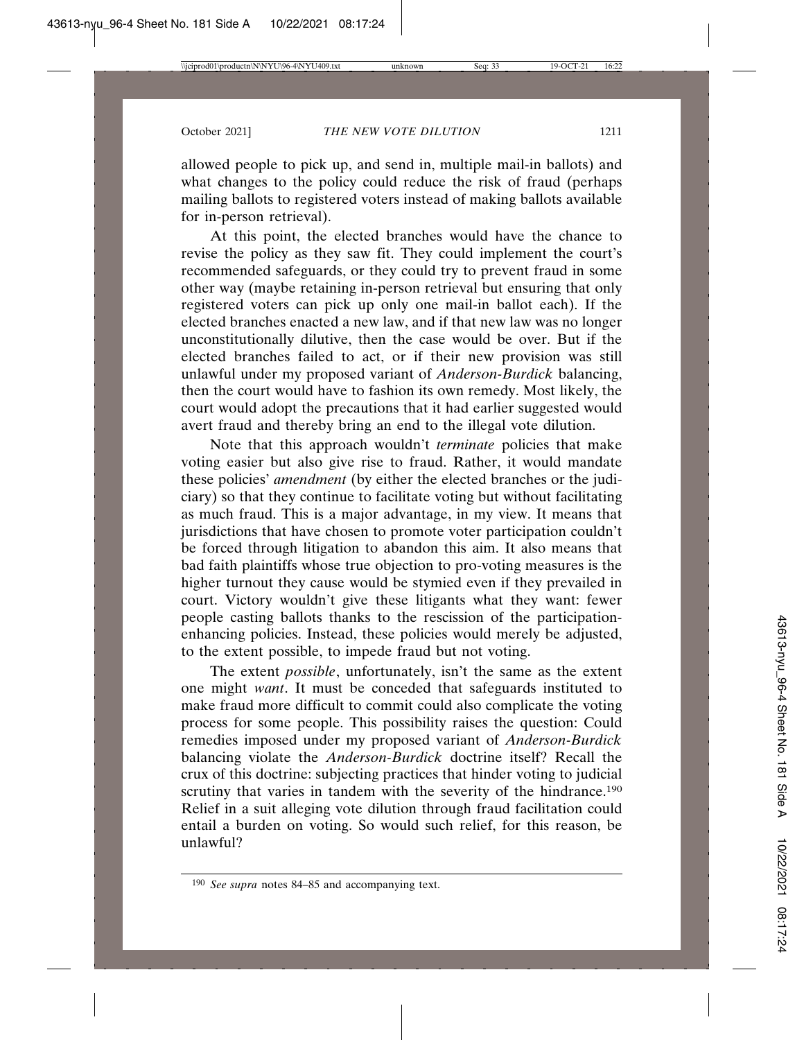allowed people to pick up, and send in, multiple mail-in ballots) and what changes to the policy could reduce the risk of fraud (perhaps mailing ballots to registered voters instead of making ballots available for in-person retrieval).

At this point, the elected branches would have the chance to revise the policy as they saw fit. They could implement the court's recommended safeguards, or they could try to prevent fraud in some other way (maybe retaining in-person retrieval but ensuring that only registered voters can pick up only one mail-in ballot each). If the elected branches enacted a new law, and if that new law was no longer unconstitutionally dilutive, then the case would be over. But if the elected branches failed to act, or if their new provision was still unlawful under my proposed variant of *Anderson-Burdick* balancing, then the court would have to fashion its own remedy. Most likely, the court would adopt the precautions that it had earlier suggested would avert fraud and thereby bring an end to the illegal vote dilution.

Note that this approach wouldn't *terminate* policies that make voting easier but also give rise to fraud. Rather, it would mandate these policies' *amendment* (by either the elected branches or the judiciary) so that they continue to facilitate voting but without facilitating as much fraud. This is a major advantage, in my view. It means that jurisdictions that have chosen to promote voter participation couldn't be forced through litigation to abandon this aim. It also means that bad faith plaintiffs whose true objection to pro-voting measures is the higher turnout they cause would be stymied even if they prevailed in court. Victory wouldn't give these litigants what they want: fewer people casting ballots thanks to the rescission of the participationenhancing policies. Instead, these policies would merely be adjusted, to the extent possible, to impede fraud but not voting.

The extent *possible*, unfortunately, isn't the same as the extent one might *want*. It must be conceded that safeguards instituted to make fraud more difficult to commit could also complicate the voting process for some people. This possibility raises the question: Could remedies imposed under my proposed variant of *Anderson-Burdick* balancing violate the *Anderson-Burdick* doctrine itself? Recall the crux of this doctrine: subjecting practices that hinder voting to judicial scrutiny that varies in tandem with the severity of the hindrance.<sup>190</sup> Relief in a suit alleging vote dilution through fraud facilitation could entail a burden on voting. So would such relief, for this reason, be unlawful?

<sup>190</sup> *See supra* notes 84–85 and accompanying text.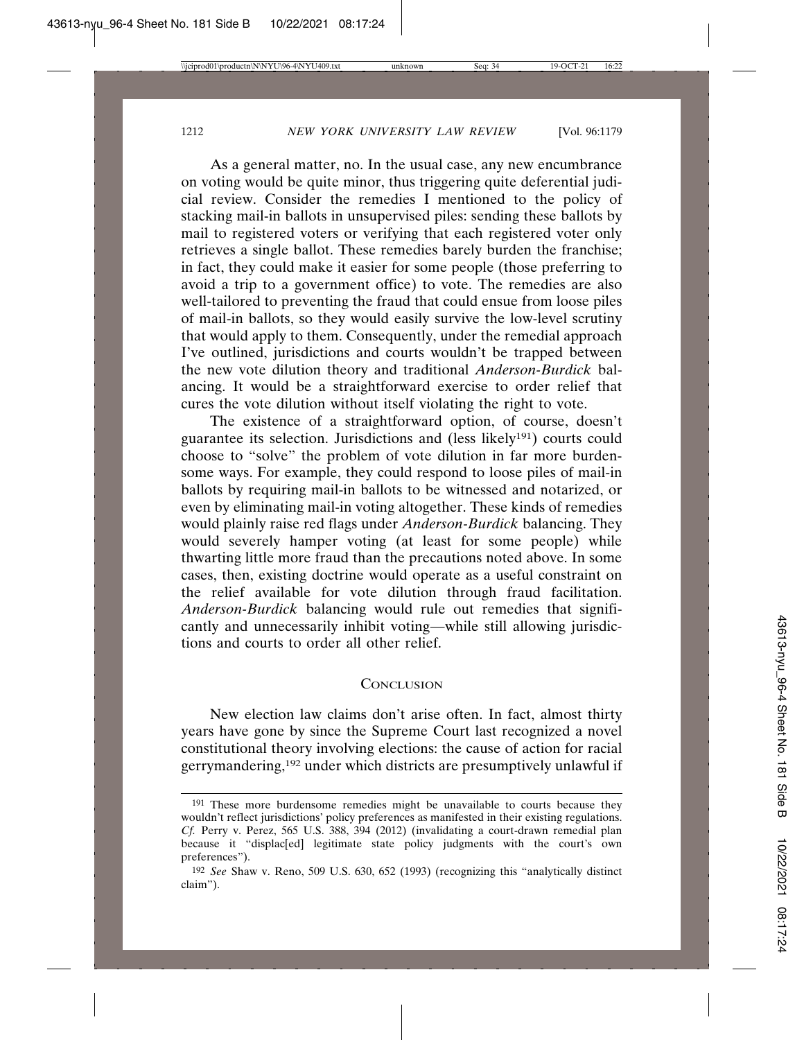As a general matter, no. In the usual case, any new encumbrance on voting would be quite minor, thus triggering quite deferential judicial review. Consider the remedies I mentioned to the policy of stacking mail-in ballots in unsupervised piles: sending these ballots by mail to registered voters or verifying that each registered voter only retrieves a single ballot. These remedies barely burden the franchise; in fact, they could make it easier for some people (those preferring to avoid a trip to a government office) to vote. The remedies are also well-tailored to preventing the fraud that could ensue from loose piles of mail-in ballots, so they would easily survive the low-level scrutiny that would apply to them. Consequently, under the remedial approach I've outlined, jurisdictions and courts wouldn't be trapped between the new vote dilution theory and traditional *Anderson-Burdick* balancing. It would be a straightforward exercise to order relief that cures the vote dilution without itself violating the right to vote.

The existence of a straightforward option, of course, doesn't guarantee its selection. Jurisdictions and (less likely191) courts could choose to "solve" the problem of vote dilution in far more burdensome ways. For example, they could respond to loose piles of mail-in ballots by requiring mail-in ballots to be witnessed and notarized, or even by eliminating mail-in voting altogether. These kinds of remedies would plainly raise red flags under *Anderson-Burdick* balancing. They would severely hamper voting (at least for some people) while thwarting little more fraud than the precautions noted above. In some cases, then, existing doctrine would operate as a useful constraint on the relief available for vote dilution through fraud facilitation. *Anderson-Burdick* balancing would rule out remedies that significantly and unnecessarily inhibit voting—while still allowing jurisdictions and courts to order all other relief.

## **CONCLUSION**

New election law claims don't arise often. In fact, almost thirty years have gone by since the Supreme Court last recognized a novel constitutional theory involving elections: the cause of action for racial gerrymandering,192 under which districts are presumptively unlawful if

<sup>&</sup>lt;sup>191</sup> These more burdensome remedies might be unavailable to courts because they wouldn't reflect jurisdictions' policy preferences as manifested in their existing regulations. *Cf.* Perry v. Perez, 565 U.S. 388, 394 (2012) (invalidating a court-drawn remedial plan because it "displac[ed] legitimate state policy judgments with the court's own preferences").

<sup>192</sup> *See* Shaw v. Reno, 509 U.S. 630, 652 (1993) (recognizing this "analytically distinct claim").